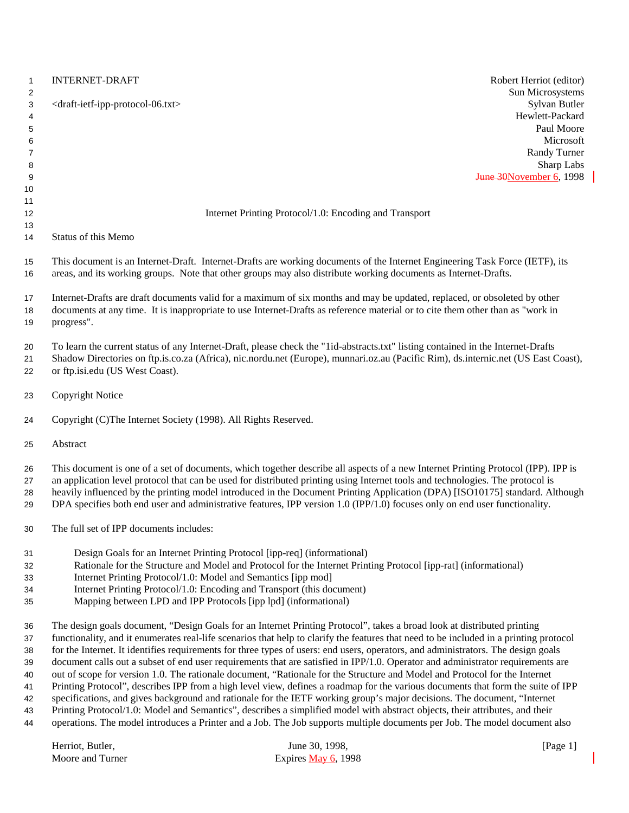| $\mathbf{1}$<br>2 | <b>INTERNET-DRAFT</b><br>Robert Herriot (editor)<br>Sun Microsystems                                                                                                                                                                                           |
|-------------------|----------------------------------------------------------------------------------------------------------------------------------------------------------------------------------------------------------------------------------------------------------------|
| 3<br>4<br>5       | Sylvan Butler<br><draft-ietf-ipp-protocol-06.txt><br/>Hewlett-Packard<br/>Paul Moore<br/>Microsoft</draft-ietf-ipp-protocol-06.txt>                                                                                                                            |
| 6<br>7            | Randy Turner                                                                                                                                                                                                                                                   |
| 8                 | Sharp Labs                                                                                                                                                                                                                                                     |
| 9                 | June 30November 6, 1998                                                                                                                                                                                                                                        |
| 10                |                                                                                                                                                                                                                                                                |
| 11                |                                                                                                                                                                                                                                                                |
| 12<br>13          | Internet Printing Protocol/1.0: Encoding and Transport                                                                                                                                                                                                         |
| 14                | Status of this Memo                                                                                                                                                                                                                                            |
| 15<br>16          | This document is an Internet-Draft. Internet-Drafts are working documents of the Internet Engineering Task Force (IETF), its<br>areas, and its working groups. Note that other groups may also distribute working documents as Internet-Drafts.                |
| 17                | Internet-Drafts are draft documents valid for a maximum of six months and may be updated, replaced, or obsoleted by other                                                                                                                                      |
| 18<br>19          | documents at any time. It is inappropriate to use Internet-Drafts as reference material or to cite them other than as "work in<br>progress".                                                                                                                   |
| 20                | To learn the current status of any Internet-Draft, please check the "1id-abstracts.txt" listing contained in the Internet-Drafts                                                                                                                               |
| 21<br>22          | Shadow Directories on ftp.is.co.za (Africa), nic.nordu.net (Europe), munnari.oz.au (Pacific Rim), ds.internic.net (US East Coast),<br>or ftp.isi.edu (US West Coast).                                                                                          |
| 23                | <b>Copyright Notice</b>                                                                                                                                                                                                                                        |
| 24                | Copyright (C)The Internet Society (1998). All Rights Reserved.                                                                                                                                                                                                 |
| 25                | Abstract                                                                                                                                                                                                                                                       |
| 26                | This document is one of a set of documents, which together describe all aspects of a new Internet Printing Protocol (IPP). IPP is                                                                                                                              |
| 27<br>28          | an application level protocol that can be used for distributed printing using Internet tools and technologies. The protocol is<br>heavily influenced by the printing model introduced in the Document Printing Application (DPA) [ISO10175] standard. Although |
| 29                | DPA specifies both end user and administrative features, IPP version 1.0 (IPP/1.0) focuses only on end user functionality.                                                                                                                                     |
| 30                | The full set of IPP documents includes:                                                                                                                                                                                                                        |
| 31                | Design Goals for an Internet Printing Protocol [ipp-req] (informational)                                                                                                                                                                                       |
| 32                | Rationale for the Structure and Model and Protocol for the Internet Printing Protocol [ipp-rat] (informational)                                                                                                                                                |
| 33                | Internet Printing Protocol/1.0: Model and Semantics [ipp mod]                                                                                                                                                                                                  |
| 34                | Internet Printing Protocol/1.0: Encoding and Transport (this document)                                                                                                                                                                                         |
| 35                | Mapping between LPD and IPP Protocols [ipp lpd] (informational)                                                                                                                                                                                                |
| 36                | The design goals document, "Design Goals for an Internet Printing Protocol", takes a broad look at distributed printing                                                                                                                                        |
| 37                | functionality, and it enumerates real-life scenarios that help to clarify the features that need to be included in a printing protocol                                                                                                                         |
| 38                | for the Internet. It identifies requirements for three types of users: end users, operators, and administrators. The design goals                                                                                                                              |
| 39                | document calls out a subset of end user requirements that are satisfied in IPP/1.0. Operator and administrator requirements are                                                                                                                                |
| 40                | out of scope for version 1.0. The rationale document, "Rationale for the Structure and Model and Protocol for the Internet<br>Printing Protocol", describes IPP from a high level view, defines a roadmap for the various documents that form the suite of IPP |
| 41<br>42          | specifications, and gives background and rationale for the IETF working group's major decisions. The document, "Internet                                                                                                                                       |
| 43                | Printing Protocol/1.0: Model and Semantics", describes a simplified model with abstract objects, their attributes, and their                                                                                                                                   |

operations. The model introduces a Printer and a Job. The Job supports multiple documents per Job. The model document also

| Herriot. Butler. | June 30, 1998.        | [Page 1] |
|------------------|-----------------------|----------|
| Moore and Turner | Expires May $6, 1998$ |          |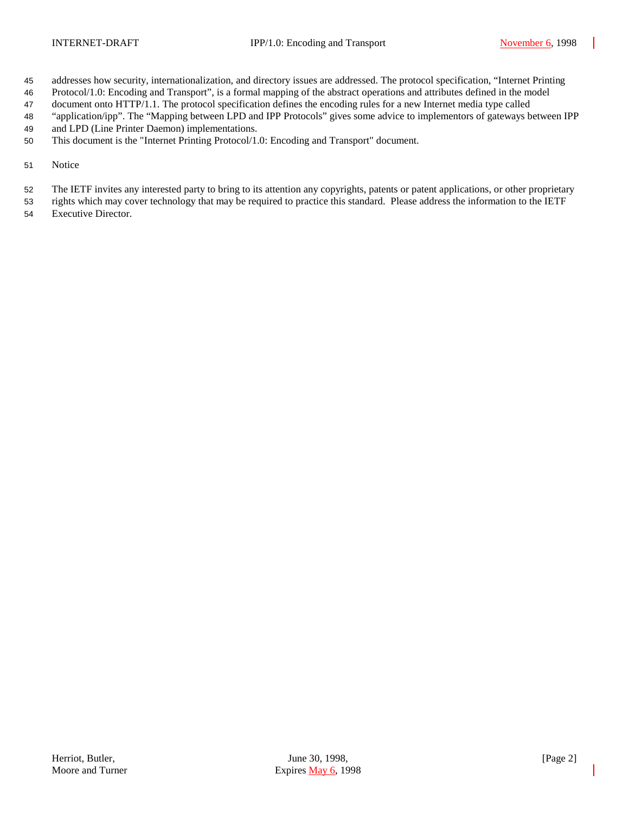- addresses how security, internationalization, and directory issues are addressed. The protocol specification, "Internet Printing
- Protocol/1.0: Encoding and Transport", is a formal mapping of the abstract operations and attributes defined in the model
- document onto HTTP/1.1. The protocol specification defines the encoding rules for a new Internet media type called
- "application/ipp". The "Mapping between LPD and IPP Protocols" gives some advice to implementors of gateways between IPP
- and LPD (Line Printer Daemon) implementations.
- This document is the "Internet Printing Protocol/1.0: Encoding and Transport" document.
- Notice
- The IETF invites any interested party to bring to its attention any copyrights, patents or patent applications, or other proprietary
- rights which may cover technology that may be required to practice this standard. Please address the information to the IETF
- Executive Director.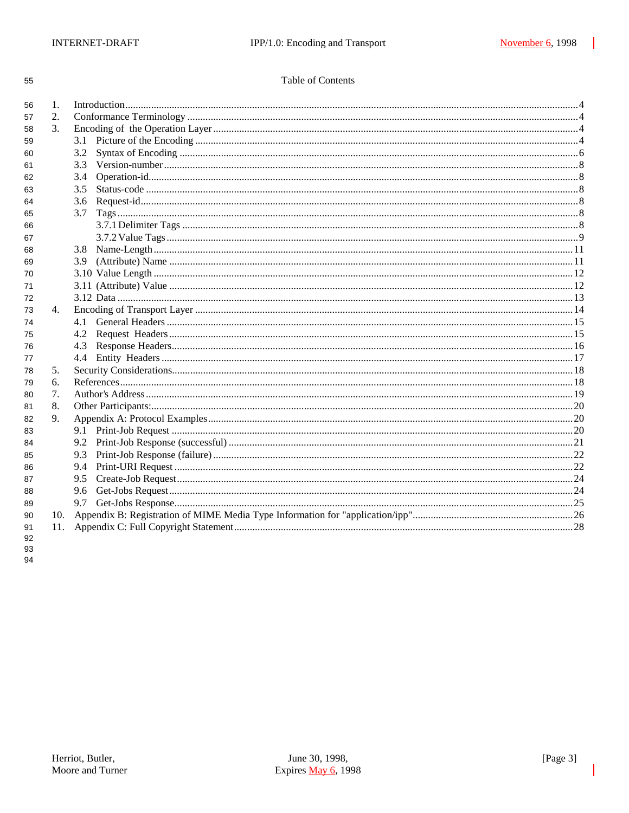| I<br>× | ٠<br>× |
|--------|--------|

### Table of Contents

| 56 | 1.            |     |  |  |
|----|---------------|-----|--|--|
| 57 | 2.            |     |  |  |
| 58 | $\mathcal{E}$ |     |  |  |
| 59 |               | 3.1 |  |  |
| 60 |               | 3.2 |  |  |
| 61 |               | 3.3 |  |  |
| 62 |               | 3.4 |  |  |
| 63 |               | 3.5 |  |  |
| 64 |               | 3.6 |  |  |
| 65 |               | 3.7 |  |  |
| 66 |               |     |  |  |
| 67 |               |     |  |  |
| 68 |               | 3.8 |  |  |
| 69 |               | 3.9 |  |  |
| 70 |               |     |  |  |
| 71 |               |     |  |  |
| 72 |               |     |  |  |
| 73 | 4.            |     |  |  |
| 74 |               | 4.1 |  |  |
| 75 |               | 4.2 |  |  |
| 76 |               | 4.3 |  |  |
| 77 |               | 4.4 |  |  |
| 78 | 5.            |     |  |  |
| 79 | 6.            |     |  |  |
| 80 | 7.            |     |  |  |
| 81 | 8.            |     |  |  |
| 82 | 9.            |     |  |  |
| 83 |               |     |  |  |
| 84 |               | 9.2 |  |  |
| 85 |               | 9.3 |  |  |
| 86 |               | 9.4 |  |  |
| 87 |               | 9.5 |  |  |
| 88 |               | 9.6 |  |  |
| 89 |               | 9.7 |  |  |
| 90 |               |     |  |  |
| 91 | 11.           |     |  |  |
| 92 |               |     |  |  |

93 94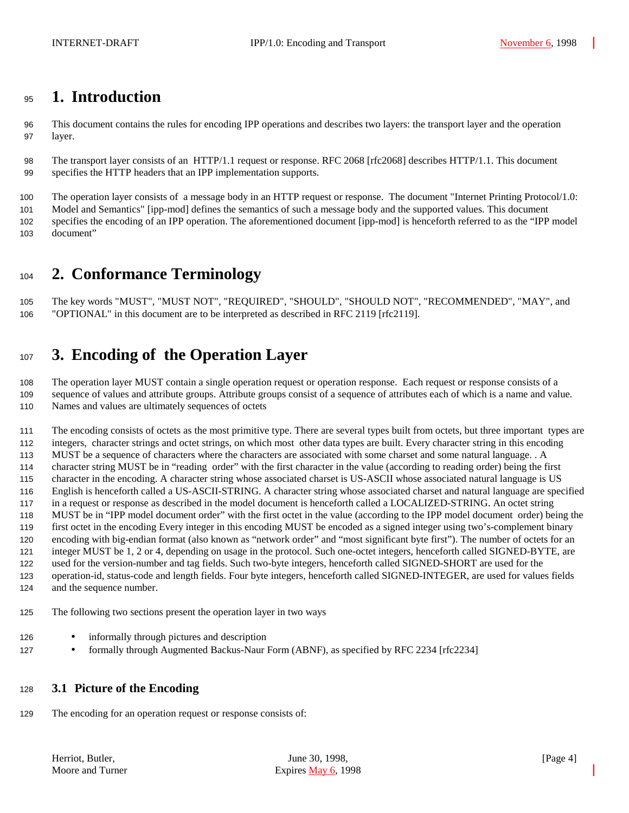# **1. Introduction**

 This document contains the rules for encoding IPP operations and describes two layers: the transport layer and the operation layer.

 The transport layer consists of an HTTP/1.1 request or response. RFC 2068 [rfc2068] describes HTTP/1.1. This document specifies the HTTP headers that an IPP implementation supports.

The operation layer consists of a message body in an HTTP request or response. The document "Internet Printing Protocol/1.0:

 Model and Semantics" [ipp-mod] defines the semantics of such a message body and the supported values. This document specifies the encoding of an IPP operation. The aforementioned document [ipp-mod] is henceforth referred to as the "IPP model document"

# **2. Conformance Terminology**

 The key words "MUST", "MUST NOT", "REQUIRED", "SHOULD", "SHOULD NOT", "RECOMMENDED", "MAY", and "OPTIONAL" in this document are to be interpreted as described in RFC 2119 [rfc2119].

# **3. Encoding of the Operation Layer**

 The operation layer MUST contain a single operation request or operation response. Each request or response consists of a sequence of values and attribute groups. Attribute groups consist of a sequence of attributes each of which is a name and value. Names and values are ultimately sequences of octets

 The encoding consists of octets as the most primitive type. There are several types built from octets, but three important types are integers, character strings and octet strings, on which most other data types are built. Every character string in this encoding MUST be a sequence of characters where the characters are associated with some charset and some natural language. . A character string MUST be in "reading order" with the first character in the value (according to reading order) being the first character in the encoding. A character string whose associated charset is US-ASCII whose associated natural language is US English is henceforth called a US-ASCII-STRING. A character string whose associated charset and natural language are specified in a request or response as described in the model document is henceforth called a LOCALIZED-STRING. An octet string MUST be in "IPP model document order" with the first octet in the value (according to the IPP model document order) being the first octet in the encoding Every integer in this encoding MUST be encoded as a signed integer using two's-complement binary encoding with big-endian format (also known as "network order" and "most significant byte first"). The number of octets for an integer MUST be 1, 2 or 4, depending on usage in the protocol. Such one-octet integers, henceforth called SIGNED-BYTE, are used for the version-number and tag fields. Such two-byte integers, henceforth called SIGNED-SHORT are used for the operation-id, status-code and length fields. Four byte integers, henceforth called SIGNED-INTEGER, are used for values fields and the sequence number.

The following two sections present the operation layer in two ways

- 126 informally through pictures and description
- 127 formally through Augmented Backus-Naur Form (ABNF), as specified by RFC 2234 [rfc2234]

### **3.1 Picture of the Encoding**

The encoding for an operation request or response consists of: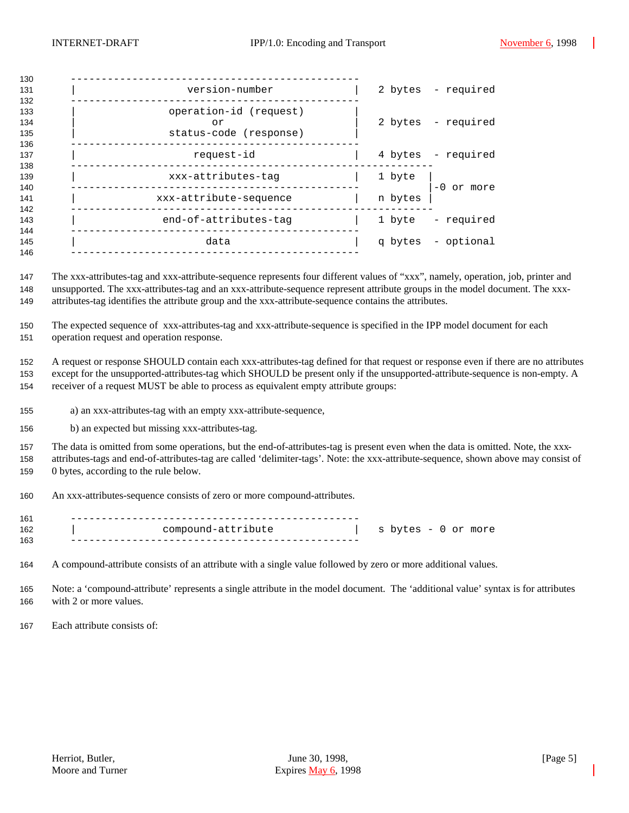| 130                      |                                                        |         |                    |
|--------------------------|--------------------------------------------------------|---------|--------------------|
| 131<br>132               | version-number                                         |         | 2 bytes - required |
| 133<br>134<br>135<br>136 | operation-id (request)<br>or<br>status-code (response) |         | 2 bytes - required |
| 137<br>138               | request-id                                             |         | 4 bytes - required |
| 139<br>140               | xxx-attributes-tag                                     | 1 byte  | $-0$ or more       |
| 141<br>142               | xxx-attribute-sequence                                 | n bytes |                    |
| 143<br>144               | end-of-attributes-tag                                  | 1 byte  | - required         |
| 145<br>146               | data                                                   |         | q bytes - optional |
|                          |                                                        |         |                    |

 The xxx-attributes-tag and xxx-attribute-sequence represents four different values of "xxx", namely, operation, job, printer and unsupported. The xxx-attributes-tag and an xxx-attribute-sequence represent attribute groups in the model document. The xxx-attributes-tag identifies the attribute group and the xxx-attribute-sequence contains the attributes.

 The expected sequence of xxx-attributes-tag and xxx-attribute-sequence is specified in the IPP model document for each operation request and operation response.

 A request or response SHOULD contain each xxx-attributes-tag defined for that request or response even if there are no attributes except for the unsupported-attributes-tag which SHOULD be present only if the unsupported-attribute-sequence is non-empty. A receiver of a request MUST be able to process as equivalent empty attribute groups:

- a) an xxx-attributes-tag with an empty xxx-attribute-sequence,
- b) an expected but missing xxx-attributes-tag.

 The data is omitted from some operations, but the end-of-attributes-tag is present even when the data is omitted. Note, the xxx- attributes-tags and end-of-attributes-tag are called 'delimiter-tags'. Note: the xxx-attribute-sequence, shown above may consist of 0 bytes, according to the rule below.

An xxx-attributes-sequence consists of zero or more compound-attributes.

| 161 |                    |                     |
|-----|--------------------|---------------------|
| 162 | compound-attribute | s bytes - 0 or more |
| 163 |                    |                     |

A compound-attribute consists of an attribute with a single value followed by zero or more additional values.

 Note: a 'compound-attribute' represents a single attribute in the model document. The 'additional value' syntax is for attributes with 2 or more values.

Each attribute consists of: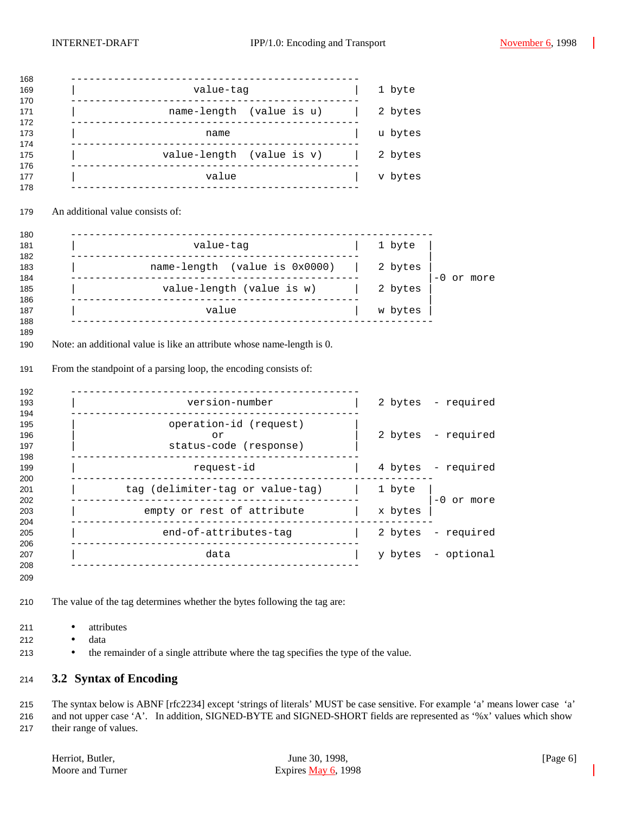| value-tag                                                                                                                 | 1 byte  |                    |
|---------------------------------------------------------------------------------------------------------------------------|---------|--------------------|
| name-length (value is u)                                                                                                  | 2 bytes |                    |
| name                                                                                                                      | u bytes |                    |
| value-length (value is v)                                                                                                 | 2 bytes |                    |
| value                                                                                                                     | v bytes |                    |
| An additional value consists of:                                                                                          |         |                    |
| -------------------------------<br>value-tag                                                                              | 1 byte  |                    |
| name-length (value is 0x0000)                                                                                             | 2 bytes |                    |
| _______________<br>value-length (value is w)                                                                              | 2 bytes | $-0$ or more       |
| --------------------------------------<br>value                                                                           | w bytes |                    |
|                                                                                                                           |         |                    |
| Note: an additional value is like an attribute whose name-length is 0.                                                    |         |                    |
| From the standpoint of a parsing loop, the encoding consists of:<br>______________________________<br>.<br>version-number |         | 2 bytes - required |
| operation-id (request)<br>or<br>status-code (response)                                                                    |         | 2 bytes - required |
| request-id                                                                                                                |         | 4 bytes - required |
| . _ _ _ _ _ _ _ _ _ _ _ _ _ _<br>tag (delimiter-tag or value-tag)                                                         | 1 byte  |                    |
| empty or rest of attribute                                                                                                | x bytes | $-0$ or more       |
| end-of-attributes-tag   2 bytes - required                                                                                |         |                    |
| ---------------<br>-------------------<br>data                                                                            | y bytes | - optional         |

- attributes
- data
- the remainder of a single attribute where the tag specifies the type of the value.

### **3.2 Syntax of Encoding**

 The syntax below is ABNF [rfc2234] except 'strings of literals' MUST be case sensitive. For example 'a' means lower case 'a' and not upper case 'A'. In addition, SIGNED-BYTE and SIGNED-SHORT fields are represented as '%x' values which show their range of values.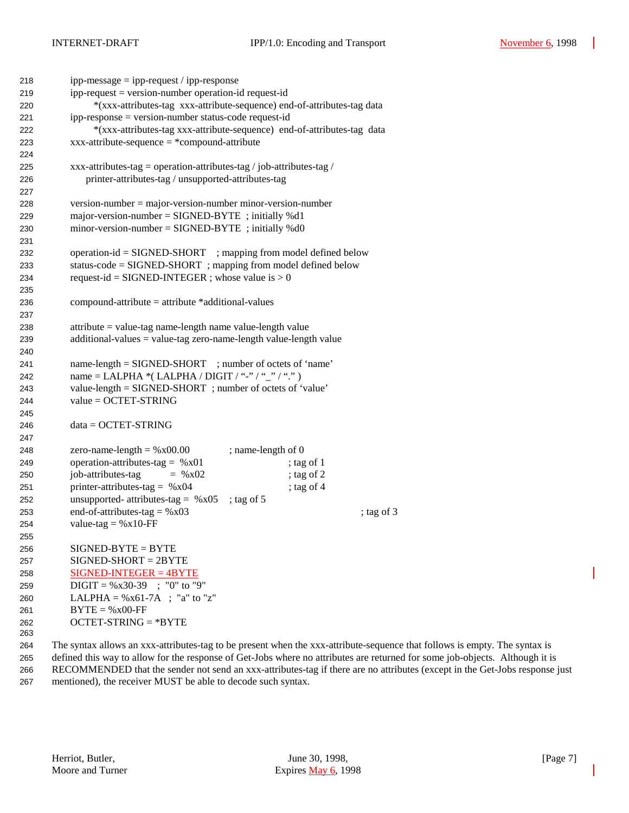| 218 | $ipp-message = ipp-request / ipp-response$                                              |  |  |
|-----|-----------------------------------------------------------------------------------------|--|--|
| 219 | ipp-request = version-number operation-id request-id                                    |  |  |
| 220 | *(xxx-attributes-tag xxx-attribute-sequence) end-of-attributes-tag data                 |  |  |
| 221 | ipp-response = version-number status-code request-id                                    |  |  |
| 222 | *(xxx-attributes-tag xxx-attribute-sequence) end-of-attributes-tag data                 |  |  |
| 223 | $xxx$ -attribute-sequence = *compound-attribute                                         |  |  |
| 224 |                                                                                         |  |  |
| 225 | xxx-attributes-tag = operation-attributes-tag / job-attributes-tag /                    |  |  |
| 226 | printer-attributes-tag / unsupported-attributes-tag                                     |  |  |
| 227 |                                                                                         |  |  |
| 228 | $version-number = majorversion-number minor-version-number$                             |  |  |
| 229 | major-version-number = $SIGNED-BYTE$ ; initially %d1                                    |  |  |
| 230 | $minor-version-number = SIGNED-BYTE$ ; initially %d0                                    |  |  |
| 231 |                                                                                         |  |  |
| 232 | operation-id = SIGNED-SHORT ; mapping from model defined below                          |  |  |
| 233 | status-code = SIGNED-SHORT; mapping from model defined below                            |  |  |
| 234 | request-id = SIGNED-INTEGER; whose value is $> 0$                                       |  |  |
| 235 |                                                                                         |  |  |
| 236 | $compound-attribute = attribute * additional-values$                                    |  |  |
| 237 |                                                                                         |  |  |
| 238 | $attribute = value-tag name-length name value-length value$                             |  |  |
| 239 | $additional-values = value-tag zero-name-length value-length value$                     |  |  |
| 240 |                                                                                         |  |  |
| 241 | name-length = SIGNED-SHORT ; number of octets of 'name'                                 |  |  |
| 242 | name = LALPHA *( LALPHA / DIGIT / "-" / "_" / "." )                                     |  |  |
| 243 | value-length = SIGNED-SHORT; number of octets of 'value'                                |  |  |
| 244 | $value = OCTET-STRING$                                                                  |  |  |
| 245 |                                                                                         |  |  |
| 246 | $data = OCTET-STRING$                                                                   |  |  |
| 247 |                                                                                         |  |  |
| 248 | ; name-length of 0<br>zero-name-length = $%x00.00$                                      |  |  |
| 249 | operation-attributes-tag = $%x01$<br>; tag of 1                                         |  |  |
| 250 | job-attributes-tag<br>$=$ % x02<br>; tag of $2$                                         |  |  |
| 251 | printer-attributes-tag = $%x04$<br>; tag of 4                                           |  |  |
| 252 | unsupported- attributes-tag = $%x05$<br>; tag of $5$                                    |  |  |
| 253 | end-of-attributes-tag = $%x03$<br>; tag of 3                                            |  |  |
| 254 | value-tag = $%x10$ -FF                                                                  |  |  |
| 255 |                                                                                         |  |  |
| 256 | $SIGNED-BYTE = BYTE$                                                                    |  |  |
| 257 | $SIGNED-SHORT = 2BYTE$                                                                  |  |  |
| 258 | $SIGNED-INTER = 4BYTE$                                                                  |  |  |
| 259 | $DIGIT = \%x30-39$ ; "0" to "9"                                                         |  |  |
| 260 | LALPHA = $\%x61-7A$ ; "a" to "z"                                                        |  |  |
| 261 | $BYTE = %x00-FF$                                                                        |  |  |
| 262 | $OCTET-STRING = *BYTE$                                                                  |  |  |
| 263 |                                                                                         |  |  |
| 264 | The syntax allows an xxx-attributes-tag to be present when the xxx-attribute-sequence t |  |  |

that follows is empty. The syntax is defined this way to allow for the response of Get-Jobs where no attributes are returned for some job-objects. Although it is RECOMMENDED that the sender not send an xxx-attributes-tag if there are no attributes (except in the Get-Jobs response just mentioned), the receiver MUST be able to decode such syntax.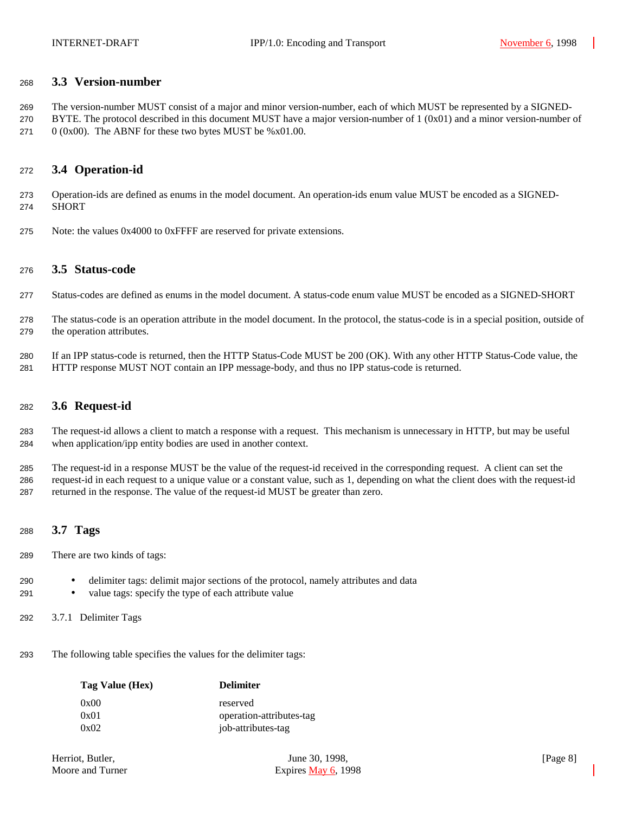### **3.3 Version-number**

 The version-number MUST consist of a major and minor version-number, each of which MUST be represented by a SIGNED-270 BYTE. The protocol described in this document MUST have a major version-number of  $1 (0x01)$  and a minor version-number of 271  $0 (0x00)$ . The ABNF for these two bytes MUST be %x01.00.

### **3.4 Operation-id**

 Operation-ids are defined as enums in the model document. An operation-ids enum value MUST be encoded as a SIGNED-SHORT

Note: the values 0x4000 to 0xFFFF are reserved for private extensions.

#### **3.5 Status-code**

- Status-codes are defined as enums in the model document. A status-code enum value MUST be encoded as a SIGNED-SHORT
- The status-code is an operation attribute in the model document. In the protocol, the status-code is in a special position, outside of the operation attributes.
- If an IPP status-code is returned, then the HTTP Status-Code MUST be 200 (OK). With any other HTTP Status-Code value, the HTTP response MUST NOT contain an IPP message-body, and thus no IPP status-code is returned.

### **3.6 Request-id**

 The request-id allows a client to match a response with a request. This mechanism is unnecessary in HTTP, but may be useful when application/ipp entity bodies are used in another context.

 The request-id in a response MUST be the value of the request-id received in the corresponding request. A client can set the request-id in each request to a unique value or a constant value, such as 1, depending on what the client does with the request-id returned in the response. The value of the request-id MUST be greater than zero.

### **3.7 Tags**

- There are two kinds of tags:
- delimiter tags: delimit major sections of the protocol, namely attributes and data
- value tags: specify the type of each attribute value
- 3.7.1 Delimiter Tags
- The following table specifies the values for the delimiter tags:

| Tag Value (Hex) | <b>Delimiter</b>         |
|-----------------|--------------------------|
| 0x00            | reserved                 |
| 0x01            | operation-attributes-tag |
| 0x02            | job-attributes-tag       |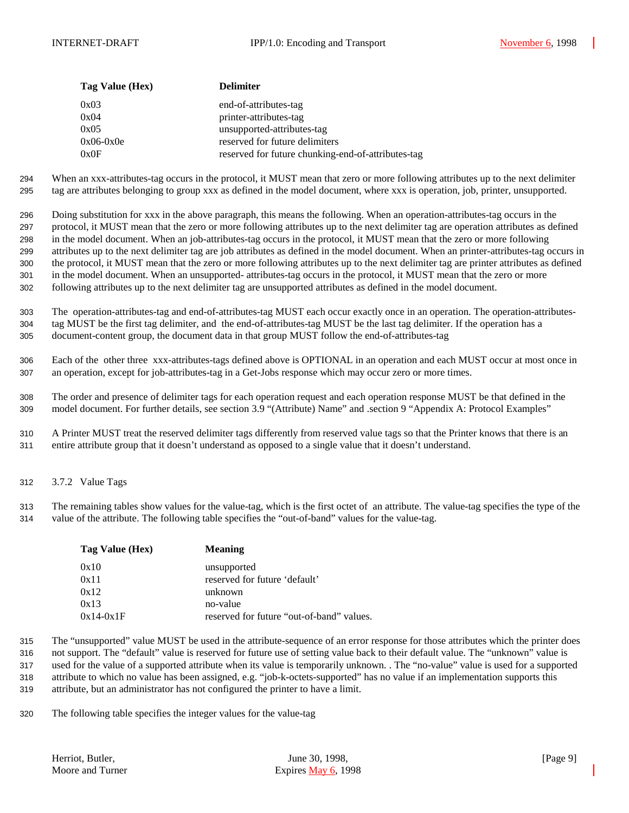| Tag Value (Hex) | <b>Delimiter</b>                                   |
|-----------------|----------------------------------------------------|
| 0x03            | end-of-attributes-tag                              |
| 0x04            | printer-attributes-tag                             |
| 0x05            | unsupported-attributes-tag                         |
| $0x06-0x0e$     | reserved for future delimiters                     |
| 0x0F            | reserved for future chunking-end-of-attributes-tag |

 When an xxx-attributes-tag occurs in the protocol, it MUST mean that zero or more following attributes up to the next delimiter tag are attributes belonging to group xxx as defined in the model document, where xxx is operation, job, printer, unsupported.

 Doing substitution for xxx in the above paragraph, this means the following. When an operation-attributes-tag occurs in the protocol, it MUST mean that the zero or more following attributes up to the next delimiter tag are operation attributes as defined in the model document. When an job-attributes-tag occurs in the protocol, it MUST mean that the zero or more following attributes up to the next delimiter tag are job attributes as defined in the model document. When an printer-attributes-tag occurs in the protocol, it MUST mean that the zero or more following attributes up to the next delimiter tag are printer attributes as defined in the model document. When an unsupported- attributes-tag occurs in the protocol, it MUST mean that the zero or more following attributes up to the next delimiter tag are unsupported attributes as defined in the model document.

 The operation-attributes-tag and end-of-attributes-tag MUST each occur exactly once in an operation. The operation-attributes- tag MUST be the first tag delimiter, and the end-of-attributes-tag MUST be the last tag delimiter. If the operation has a document-content group, the document data in that group MUST follow the end-of-attributes-tag

 Each of the other three xxx-attributes-tags defined above is OPTIONAL in an operation and each MUST occur at most once in an operation, except for job-attributes-tag in a Get-Jobs response which may occur zero or more times.

 The order and presence of delimiter tags for each operation request and each operation response MUST be that defined in the model document. For further details, see section 3.9 "(Attribute) Name" and .section 9 "Appendix A: Protocol Examples"

 A Printer MUST treat the reserved delimiter tags differently from reserved value tags so that the Printer knows that there is an entire attribute group that it doesn't understand as opposed to a single value that it doesn't understand.

3.7.2 Value Tags

 The remaining tables show values for the value-tag, which is the first octet of an attribute. The value-tag specifies the type of the value of the attribute. The following table specifies the "out-of-band" values for the value-tag.

| Tag Value (Hex) | <b>Meaning</b>                            |
|-----------------|-------------------------------------------|
| 0x10            | unsupported                               |
| 0x11            | reserved for future 'default'             |
| 0x12            | unknown                                   |
| 0x13            | no-value                                  |
| $0x14-0x1F$     | reserved for future "out-of-band" values. |

 The "unsupported" value MUST be used in the attribute-sequence of an error response for those attributes which the printer does not support. The "default" value is reserved for future use of setting value back to their default value. The "unknown" value is used for the value of a supported attribute when its value is temporarily unknown. . The "no-value" value is used for a supported attribute to which no value has been assigned, e.g. "job-k-octets-supported" has no value if an implementation supports this

attribute, but an administrator has not configured the printer to have a limit.

The following table specifies the integer values for the value-tag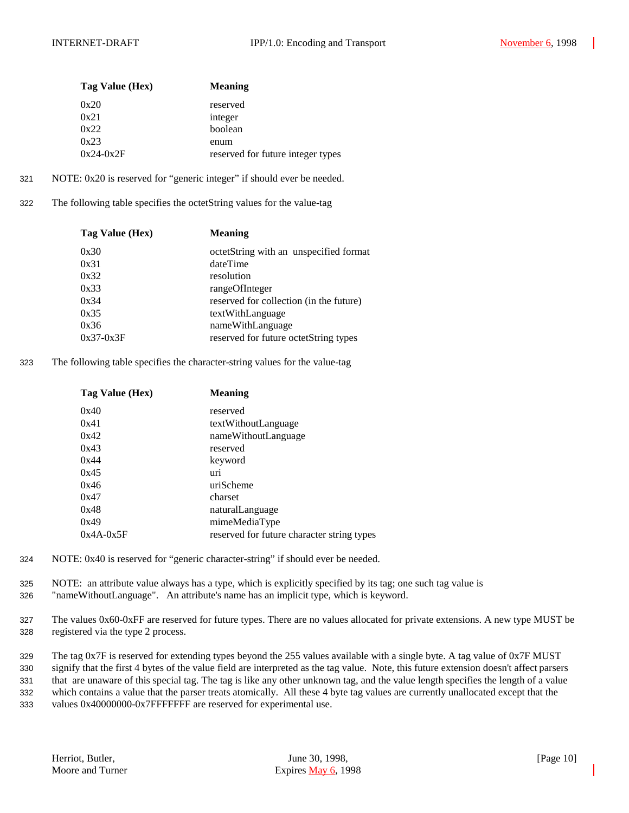| Tag Value (Hex) | <b>Meaning</b>                    |
|-----------------|-----------------------------------|
| 0x20            | reserved                          |
| 0x21            | integer                           |
| 0x22            | boolean                           |
| 0x23            | enum                              |
| $0x24-0x2F$     | reserved for future integer types |

- 321 NOTE: 0x20 is reserved for "generic integer" if should ever be needed.
- 322 The following table specifies the octetString values for the value-tag

| Tag Value (Hex) | <b>Meaning</b>                          |
|-----------------|-----------------------------------------|
| 0x30            | octetString with an unspecified format  |
| 0x31            | dateTime                                |
| 0x32            | resolution                              |
| 0x33            | rangeOfInteger                          |
| 0x34            | reserved for collection (in the future) |
| 0x35            | textWithLanguage                        |
| 0x36            | nameWithLanguage                        |
| $0x37-0x3F$     | reserved for future octetString types   |
|                 |                                         |

323 The following table specifies the character-string values for the value-tag

| Tag Value (Hex) | <b>Meaning</b>                             |
|-----------------|--------------------------------------------|
| 0x40            | reserved                                   |
| 0x41            | textWithoutLanguage                        |
| 0x42            | nameWithoutLanguage                        |
| 0x43            | reserved                                   |
| 0x44            | keyword                                    |
| 0x45            | uri                                        |
| 0x46            | uriScheme                                  |
| 0x47            | charset                                    |
| 0x48            | naturalLanguage                            |
| 0x49            | mimeMediaType                              |
| $0x4A-0x5F$     | reserved for future character string types |

- 324 NOTE: 0x40 is reserved for "generic character-string" if should ever be needed.
- 325 NOTE: an attribute value always has a type, which is explicitly specified by its tag; one such tag value is 326 "nameWithoutLanguage". An attribute's name has an implicit type, which is keyword.
- 327 The values 0x60-0xFF are reserved for future types. There are no values allocated for private extensions. A new type MUST be 328 registered via the type 2 process.

 The tag 0x7F is reserved for extending types beyond the 255 values available with a single byte. A tag value of 0x7F MUST signify that the first 4 bytes of the value field are interpreted as the tag value. Note, this future extension doesn't affect parsers that are unaware of this special tag. The tag is like any other unknown tag, and the value length specifies the length of a value which contains a value that the parser treats atomically. All these 4 byte tag values are currently unallocated except that the values 0x40000000-0x7FFFFFFF are reserved for experimental use.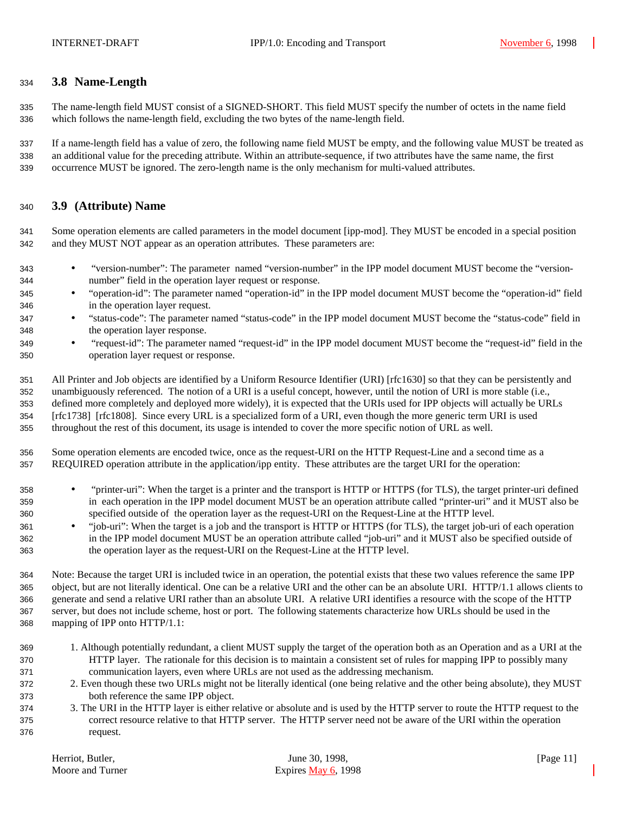### **3.8 Name-Length**

 The name-length field MUST consist of a SIGNED-SHORT. This field MUST specify the number of octets in the name field which follows the name-length field, excluding the two bytes of the name-length field.

 If a name-length field has a value of zero, the following name field MUST be empty, and the following value MUST be treated as an additional value for the preceding attribute. Within an attribute-sequence, if two attributes have the same name, the first occurrence MUST be ignored. The zero-length name is the only mechanism for multi-valued attributes.

### **3.9 (Attribute) Name**

 Some operation elements are called parameters in the model document [ipp-mod]. They MUST be encoded in a special position and they MUST NOT appear as an operation attributes. These parameters are:

- "version-number": The parameter named "version-number" in the IPP model document MUST become the "version-number" field in the operation layer request or response.
- "operation-id": The parameter named "operation-id" in the IPP model document MUST become the "operation-id" field in the operation layer request.
- "status-code": The parameter named "status-code" in the IPP model document MUST become the "status-code" field in the operation layer response.
- "request-id": The parameter named "request-id" in the IPP model document MUST become the "request-id" field in the operation layer request or response.

 All Printer and Job objects are identified by a Uniform Resource Identifier (URI) [rfc1630] so that they can be persistently and unambiguously referenced. The notion of a URI is a useful concept, however, until the notion of URI is more stable (i.e., defined more completely and deployed more widely), it is expected that the URIs used for IPP objects will actually be URLs [rfc1738] [rfc1808]. Since every URL is a specialized form of a URI, even though the more generic term URI is used throughout the rest of this document, its usage is intended to cover the more specific notion of URL as well.

 Some operation elements are encoded twice, once as the request-URI on the HTTP Request-Line and a second time as a REQUIRED operation attribute in the application/ipp entity. These attributes are the target URI for the operation:

- "printer-uri": When the target is a printer and the transport is HTTP or HTTPS (for TLS), the target printer-uri defined in each operation in the IPP model document MUST be an operation attribute called "printer-uri" and it MUST also be specified outside of the operation layer as the request-URI on the Request-Line at the HTTP level.
- "job-uri": When the target is a job and the transport is HTTP or HTTPS (for TLS), the target job-uri of each operation in the IPP model document MUST be an operation attribute called "job-uri" and it MUST also be specified outside of the operation layer as the request-URI on the Request-Line at the HTTP level.

 Note: Because the target URI is included twice in an operation, the potential exists that these two values reference the same IPP object, but are not literally identical. One can be a relative URI and the other can be an absolute URI. HTTP/1.1 allows clients to generate and send a relative URI rather than an absolute URI. A relative URI identifies a resource with the scope of the HTTP server, but does not include scheme, host or port. The following statements characterize how URLs should be used in the mapping of IPP onto HTTP/1.1:

- 1. Although potentially redundant, a client MUST supply the target of the operation both as an Operation and as a URI at the HTTP layer. The rationale for this decision is to maintain a consistent set of rules for mapping IPP to possibly many communication layers, even where URLs are not used as the addressing mechanism.
- 2. Even though these two URLs might not be literally identical (one being relative and the other being absolute), they MUST both reference the same IPP object.
- 3. The URI in the HTTP layer is either relative or absolute and is used by the HTTP server to route the HTTP request to the correct resource relative to that HTTP server. The HTTP server need not be aware of the URI within the operation request.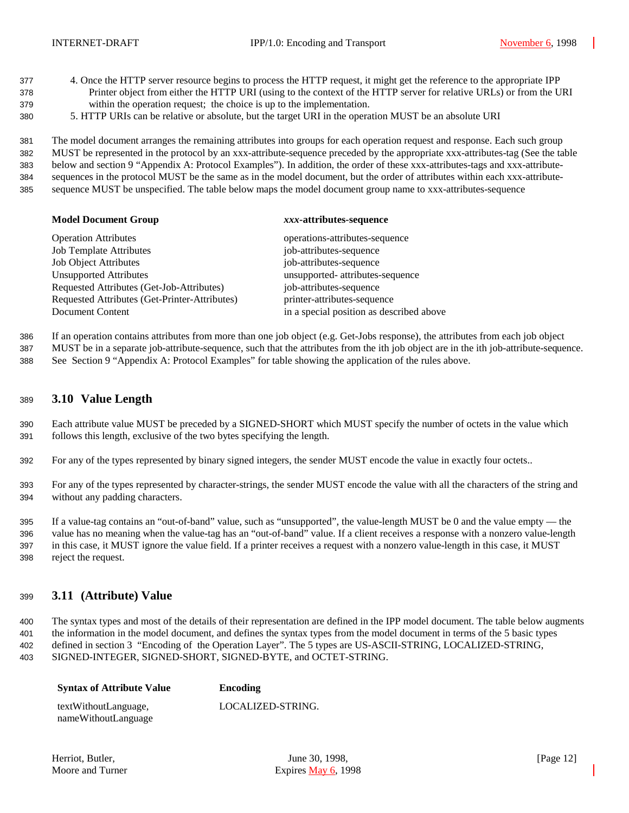- 4. Once the HTTP server resource begins to process the HTTP request, it might get the reference to the appropriate IPP Printer object from either the HTTP URI (using to the context of the HTTP server for relative URLs) or from the URI within the operation request; the choice is up to the implementation.
- 5. HTTP URIs can be relative or absolute, but the target URI in the operation MUST be an absolute URI

 The model document arranges the remaining attributes into groups for each operation request and response. Each such group MUST be represented in the protocol by an xxx-attribute-sequence preceded by the appropriate xxx-attributes-tag (See the table below and section 9 "Appendix A: Protocol Examples"). In addition, the order of these xxx-attributes-tags and xxx-attribute- sequences in the protocol MUST be the same as in the model document, but the order of attributes within each xxx-attribute-sequence MUST be unspecified. The table below maps the model document group name to xxx-attributes-sequence

#### **Model Document Group** *xxx***-attributes-sequence**

| <b>Operation Attributes</b>                   | operations-attributes-sequence           |
|-----------------------------------------------|------------------------------------------|
| <b>Job Template Attributes</b>                | job-attributes-sequence                  |
| <b>Job Object Attributes</b>                  | job-attributes-sequence                  |
| <b>Unsupported Attributes</b>                 | unsupported- attributes-sequence         |
| Requested Attributes (Get-Job-Attributes)     | job-attributes-sequence                  |
| Requested Attributes (Get-Printer-Attributes) | printer-attributes-sequence              |
| Document Content                              | in a special position as described above |

If an operation contains attributes from more than one job object (e.g. Get-Jobs response), the attributes from each job object

MUST be in a separate job-attribute-sequence, such that the attributes from the ith job object are in the ith job-attribute-sequence.

See Section 9 "Appendix A: Protocol Examples" for table showing the application of the rules above.

### **3.10 Value Length**

 Each attribute value MUST be preceded by a SIGNED-SHORT which MUST specify the number of octets in the value which follows this length, exclusive of the two bytes specifying the length.

For any of the types represented by binary signed integers, the sender MUST encode the value in exactly four octets..

 For any of the types represented by character-strings, the sender MUST encode the value with all the characters of the string and without any padding characters.

 If a value-tag contains an "out-of-band" value, such as "unsupported", the value-length MUST be 0 and the value empty — the value has no meaning when the value-tag has an "out-of-band" value. If a client receives a response with a nonzero value-length in this case, it MUST ignore the value field. If a printer receives a request with a nonzero value-length in this case, it MUST reject the request.

### **3.11 (Attribute) Value**

 The syntax types and most of the details of their representation are defined in the IPP model document. The table below augments the information in the model document, and defines the syntax types from the model document in terms of the 5 basic types defined in section 3 "Encoding of the Operation Layer". The 5 types are US-ASCII-STRING, LOCALIZED-STRING, SIGNED-INTEGER, SIGNED-SHORT, SIGNED-BYTE, and OCTET-STRING.

| <b>Syntax of Attribute Value</b> | Encoding          |
|----------------------------------|-------------------|
| textWithoutLanguage,             | LOCALIZED-STRING. |
| nameWithoutLanguage              |                   |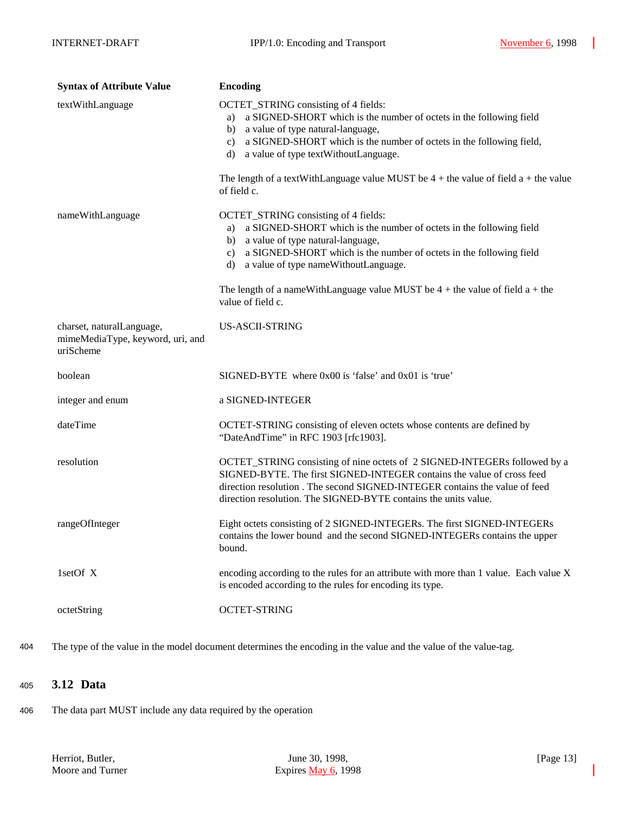| <b>Syntax of Attribute Value</b>                                           | <b>Encoding</b>                                                                                                                                                                                                                                                                                                                                                                       |
|----------------------------------------------------------------------------|---------------------------------------------------------------------------------------------------------------------------------------------------------------------------------------------------------------------------------------------------------------------------------------------------------------------------------------------------------------------------------------|
| textWithLanguage                                                           | OCTET_STRING consisting of 4 fields:<br>a) a SIGNED-SHORT which is the number of octets in the following field<br>b) a value of type natural-language,<br>c) a SIGNED-SHORT which is the number of octets in the following field,<br>d) a value of type text Without Language.                                                                                                        |
|                                                                            | The length of a textWithLanguage value MUST be $4 +$ the value of field a + the value<br>of field c.                                                                                                                                                                                                                                                                                  |
| nameWithLanguage                                                           | OCTET_STRING consisting of 4 fields:<br>a) a SIGNED-SHORT which is the number of octets in the following field<br>b) a value of type natural-language,<br>c) a SIGNED-SHORT which is the number of octets in the following field<br>d) a value of type nameWithoutLanguage.<br>The length of a nameWithLanguage value MUST be $4 +$ the value of field $a +$ the<br>value of field c. |
| charset, naturalLanguage,<br>mimeMediaType, keyword, uri, and<br>uriScheme | <b>US-ASCII-STRING</b>                                                                                                                                                                                                                                                                                                                                                                |
| boolean                                                                    | SIGNED-BYTE where 0x00 is 'false' and 0x01 is 'true'                                                                                                                                                                                                                                                                                                                                  |
| integer and enum                                                           | a SIGNED-INTEGER                                                                                                                                                                                                                                                                                                                                                                      |
| dateTime                                                                   | OCTET-STRING consisting of eleven octets whose contents are defined by<br>"DateAndTime" in RFC 1903 [rfc1903].                                                                                                                                                                                                                                                                        |
| resolution                                                                 | OCTET_STRING consisting of nine octets of 2 SIGNED-INTEGERs followed by a<br>SIGNED-BYTE. The first SIGNED-INTEGER contains the value of cross feed<br>direction resolution. The second SIGNED-INTEGER contains the value of feed<br>direction resolution. The SIGNED-BYTE contains the units value.                                                                                  |
| rangeOfInteger                                                             | Eight octets consisting of 2 SIGNED-INTEGERs. The first SIGNED-INTEGERs<br>contains the lower bound and the second SIGNED-INTEGERs contains the upper<br>bound.                                                                                                                                                                                                                       |
| 1setOf X                                                                   | encoding according to the rules for an attribute with more than 1 value. Each value X<br>is encoded according to the rules for encoding its type.                                                                                                                                                                                                                                     |
| octetString                                                                | <b>OCTET-STRING</b>                                                                                                                                                                                                                                                                                                                                                                   |

404 The type of the value in the model document determines the encoding in the value and the value of the value-tag.

### <sup>405</sup> **3.12 Data**

406 The data part MUST include any data required by the operation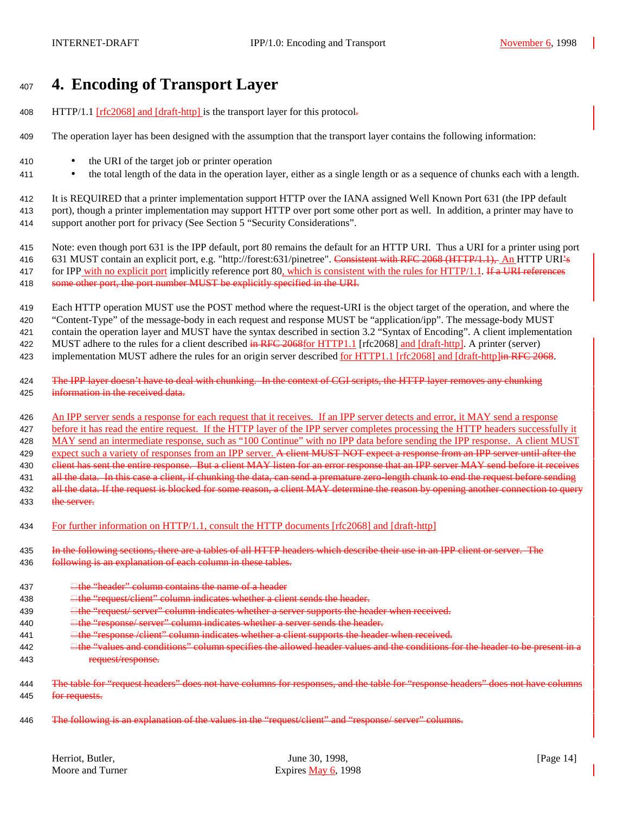# <sup>407</sup> **4. Encoding of Transport Layer**

- 408 HTTP/1.1 [rfc2068] and [draft-http] is the transport layer for this protocol-
- 409 The operation layer has been designed with the assumption that the transport layer contains the following information:
- 410 the URI of the target job or printer operation
- <sup>411</sup> the total length of the data in the operation layer, either as a single length or as a sequence of chunks each with a length.

412 It is REQUIRED that a printer implementation support HTTP over the IANA assigned Well Known Port 631 (the IPP default 413 port), though a printer implementation may support HTTP over port some other port as well. In addition, a printer may have to 414 support another port for privacy (See Section 5 "Security Considerations".

415 Note: even though port 631 is the IPP default, port 80 remains the default for an HTTP URI. Thus a URI for a printer using port 416 631 MUST contain an explicit port, e.g. "http://forest:631/pinetree". Consistent with RFC 2068 (HTTP/1.1), An HTTP URI's

417 for IPP with no explicit port implicitly reference port 80, which is consistent with the rules for HTTP/1.1. If a URI references 418 some other port, the port number MUST be explicitly specified in the URI.

 Each HTTP operation MUST use the POST method where the request-URI is the object target of the operation, and where the "Content-Type" of the message-body in each request and response MUST be "application/ipp". The message-body MUST contain the operation layer and MUST have the syntax described in section 3.2 "Syntax of Encoding". A client implementation 422 MUST adhere to the rules for a client described in RFC 2068for HTTP1.1 [rfc2068] and [draft-http]. A printer (server)

423 implementation MUST adhere the rules for an origin server described <u>for HTTP1.1</u> [rfc2068] and [draft-http]in RFC 2068.

424 The IPP layer doesn't have to deal with chunking. In the context of CGI scripts, the HTTP layer removes any chunking 425 information in the received data.

426 An IPP server sends a response for each request that it receives. If an IPP server detects and error, it MAY send a response 427 before it has read the entire request. If the HTTP layer of the IPP server completes processing the HTTP headers successfully it 428 MAY send an intermediate response, such as "100 Continue" with no IPP data before sending the IPP response. A client MUST 429 expect such a variety of responses from an IPP server. A client MUST NOT expect a response from an IPP server until after the 430 client has sent the entire response. But a client MAY listen for an error response that an IPP server MAY send before it receives 431 all the data. In this case a client, if chunking the data, can send a premature zero-length chunk to end the request before sending 432 all the data. If the request is blocked for some reason, a client MAY determine the reason by opening another connection to query 433 the server.

434 For further information on HTTP/1.1, consult the HTTP documents [rfc2068] and [draft-http]

435 In the following sections, there are a tables of all HTTP headers which describe their use in an IPP client or server. The

- 436 following is an explanation of each column in these tables.
- 437  $\Box$  the "header" column contains the name of a header
- 438 **the "request/client" column indicates whether a client sends the header.**
- 439 **the "request/ server" column indicates whether a server supports the header when received.**
- 440 **the "response/ server" column indicates whether a server sends the header.**
- 441 **the "response /client" column indicates whether a client supports the header when received.**
- 442 **the "values and conditions" column specifies the allowed header values and the conditions for the header to be present in a** 443 request/response.
- 444 The table for "request headers" does not have columns for responses, and the table for "response headers" does not have columns 445 for requests.
- 446 The following is an explanation of the values in the "request/client" and "response/ server" columns.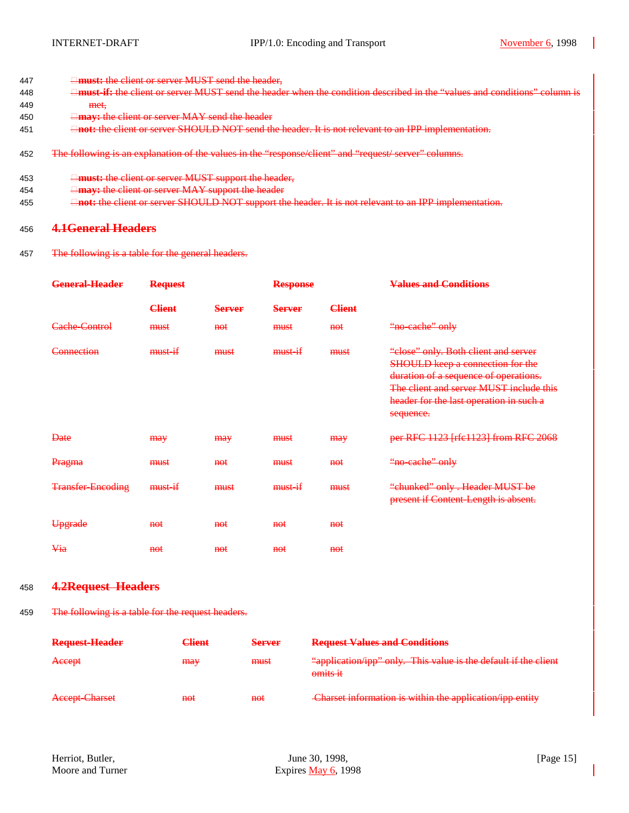- 447 **must:** the client or server MUST send the header,
- 448 **must-if:** the client or server MUST send the header when the condition described in the "values and conditions" column is 449 met,
- 450 **may:** the client or server MAY send the header
- 451 **not:** the client or server SHOULD NOT send the header. It is not relevant to an IPP implementation.
- 452 The following is an explanation of the values in the "response/client" and "request/ server" columns.
- 453 **must:** the client or server MUST support the header,
- 454 **may:** the client or server MAY support the header
- 455 **not:** the client or server SHOULD NOT support the header. It is not relevant to an IPP implementation.

### <sup>456</sup> **4.1General Headers**

457 The following is a table for the general headers.

| <b>General-Header</b>    | <b>Request</b> |                | <b>Response</b> |               | <b>Values and Conditions</b>                                                                                                                                                                                         |
|--------------------------|----------------|----------------|-----------------|---------------|----------------------------------------------------------------------------------------------------------------------------------------------------------------------------------------------------------------------|
|                          | <b>Client</b>  | <b>Server</b>  | <b>Server</b>   | <b>Client</b> |                                                                                                                                                                                                                      |
| Cache-Control            | must           | $net$          | must            | <b>not</b>    | "no-cache" only                                                                                                                                                                                                      |
| Connection               | must           | must           | must            | must          | "close" only. Both client and server<br>SHOULD keep a connection for the<br>duration of a sequence of operations.<br>The client and server MUST include this<br>header for the last operation in such a<br>sequence. |
| Date                     | <b>may</b>     | may            | must            | <b>may</b>    | per RFC 1123 [rfc1123] from RFC 2068                                                                                                                                                                                 |
| Pragma                   | must           | $net$          | must            | <b>not</b>    | "no-cache" only                                                                                                                                                                                                      |
| <b>Transfer-Encoding</b> | must           | must           | must            | must          | "chunked" only. Header MUST be<br>present if Content-Length is absent.                                                                                                                                               |
| Upgrade                  | <b>not</b>     | $f{H}\Theta f$ | $f{H}\Theta f$  | <b>not</b>    |                                                                                                                                                                                                                      |
| Via                      | <b>not</b>     | $f{H}\Theta f$ | <b>not</b>      | <b>not</b>    |                                                                                                                                                                                                                      |

#### <sup>458</sup> **4.2Request Headers**

459 The following is a table for the request headers.

| Request-Header | <del>Client</del> | <b>Server</b> | <b>Request Values and Conditions</b>                                          |
|----------------|-------------------|---------------|-------------------------------------------------------------------------------|
| Accept         | <b>may</b>        | must          | "application/ipp" only. This value is the default if the client<br>$omits it$ |
| Accept-Charset | <del>not</del>    | not           | Charset information is within the application/ipp entity                      |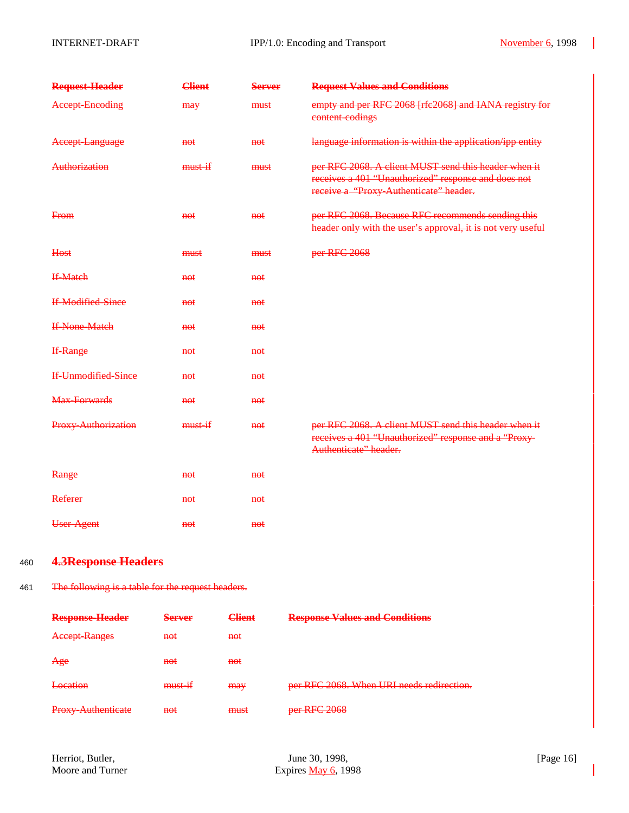| <b>Accept-Encoding</b><br>must<br>may<br>content-codings<br>Accept-Language<br><del>not</del><br>$\theta$<br>Authorization<br>must<br>must<br>From<br>$f{H}$<br><del>not</del><br><b>Host</b><br>per RFC 2068<br>must<br>must<br><b>If-Match</b><br><del>not</del><br><del>not</del><br><b>If-Modified-Since</b><br><del>not</del><br><del>not</del><br><b>If-None-Match</b><br><del>not</del><br><del>not</del><br><b>If-Range</b><br><del>not</del><br><del>not</del><br><b>If-Unmodified-Since</b><br><del>not</del><br><del>not</del> | empty and per RFC 2068 [rfc2068] and IANA registry for<br>language information is within the application/ipp entity                                   |
|-------------------------------------------------------------------------------------------------------------------------------------------------------------------------------------------------------------------------------------------------------------------------------------------------------------------------------------------------------------------------------------------------------------------------------------------------------------------------------------------------------------------------------------------|-------------------------------------------------------------------------------------------------------------------------------------------------------|
|                                                                                                                                                                                                                                                                                                                                                                                                                                                                                                                                           |                                                                                                                                                       |
|                                                                                                                                                                                                                                                                                                                                                                                                                                                                                                                                           |                                                                                                                                                       |
|                                                                                                                                                                                                                                                                                                                                                                                                                                                                                                                                           | per RFC 2068. A client MUST send this header when it<br>receives a 401 "Unauthorized" response and does not<br>receive a "Proxy-Authenticate" header. |
|                                                                                                                                                                                                                                                                                                                                                                                                                                                                                                                                           | per RFC 2068. Because RFC recommends sending this<br>header only with the user's approval, it is not very useful                                      |
|                                                                                                                                                                                                                                                                                                                                                                                                                                                                                                                                           |                                                                                                                                                       |
|                                                                                                                                                                                                                                                                                                                                                                                                                                                                                                                                           |                                                                                                                                                       |
|                                                                                                                                                                                                                                                                                                                                                                                                                                                                                                                                           |                                                                                                                                                       |
|                                                                                                                                                                                                                                                                                                                                                                                                                                                                                                                                           |                                                                                                                                                       |
|                                                                                                                                                                                                                                                                                                                                                                                                                                                                                                                                           |                                                                                                                                                       |
|                                                                                                                                                                                                                                                                                                                                                                                                                                                                                                                                           |                                                                                                                                                       |
| Max-Forwards<br><del>not</del><br><del>not</del>                                                                                                                                                                                                                                                                                                                                                                                                                                                                                          |                                                                                                                                                       |
| Proxy-Authorization<br>must<br>$f{H}{O}f$<br>Authenticate" header.                                                                                                                                                                                                                                                                                                                                                                                                                                                                        | per RFC 2068. A client MUST send this header when it<br>receives a 401 "Unauthorized" response and a "Proxy-                                          |
| Range<br>$f{H}{O}f$<br><del>not</del>                                                                                                                                                                                                                                                                                                                                                                                                                                                                                                     |                                                                                                                                                       |
| Referer<br><del>not</del><br><del>not</del>                                                                                                                                                                                                                                                                                                                                                                                                                                                                                               |                                                                                                                                                       |
| User-Agent<br><del>not</del><br><del>not</del>                                                                                                                                                                                                                                                                                                                                                                                                                                                                                            |                                                                                                                                                       |
| <b>4.3Response Headers</b><br>460                                                                                                                                                                                                                                                                                                                                                                                                                                                                                                         |                                                                                                                                                       |
| The following is a table for the request headers.<br>461                                                                                                                                                                                                                                                                                                                                                                                                                                                                                  |                                                                                                                                                       |
| <b>Client</b><br><b>Response Values and Conditions</b><br><b>Response-Header</b><br><b>Server</b>                                                                                                                                                                                                                                                                                                                                                                                                                                         |                                                                                                                                                       |
| <b>Accept-Ranges</b><br><del>not</del><br><del>not</del>                                                                                                                                                                                                                                                                                                                                                                                                                                                                                  |                                                                                                                                                       |
| Age<br><del>not</del><br><del>not</del>                                                                                                                                                                                                                                                                                                                                                                                                                                                                                                   |                                                                                                                                                       |
| <b>Location</b><br>must-if<br>per RFC 2068. When URI needs redirection.<br>may                                                                                                                                                                                                                                                                                                                                                                                                                                                            |                                                                                                                                                       |

Proxy-Authenticate not must per RFC 2068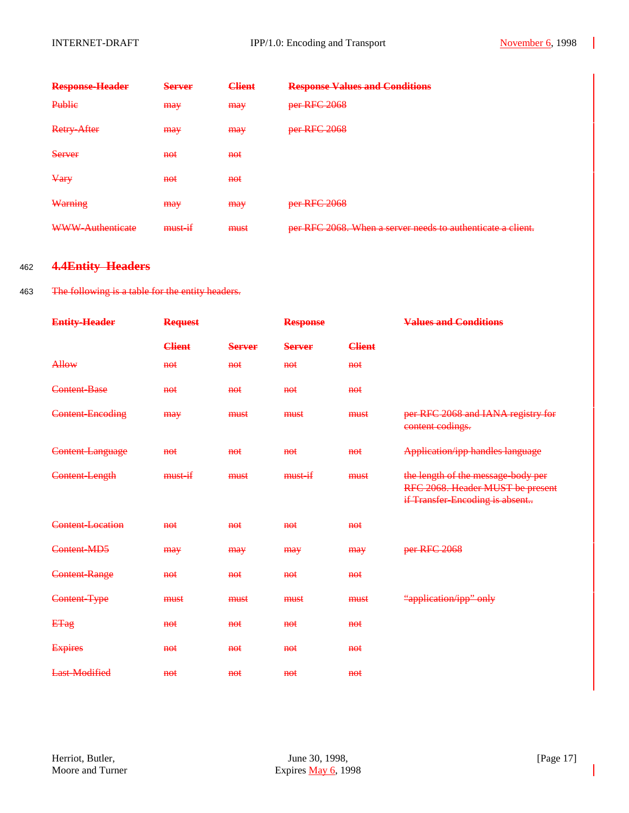| <b>Response-Header</b>  | <b>Server</b>  | <b>Client</b>  | <b>Response Values and Conditions</b>                       |
|-------------------------|----------------|----------------|-------------------------------------------------------------|
| Publie                  | <b>may</b>     | may            | per RFC 2068                                                |
| <b>Retry-After</b>      | <b>may</b>     | may            | per RFC 2068                                                |
| Server                  | <del>not</del> | <del>not</del> |                                                             |
| $\frac{V}{V}$           | <del>not</del> | <del>not</del> |                                                             |
| Warning                 | <b>may</b>     | may            | per RFC 2068                                                |
| <b>WWW-Authenticate</b> | must-if        | must           | per RFC 2068. When a server needs to authenticate a client. |

### <sup>462</sup> **4.4Entity Headers**

### 463 The following is a table for the entity headers.

| <b>Entity-Header</b>    | <b>Request</b>  |               | <b>Response</b> |               | <b>Values and Conditions</b>                                                                             |
|-------------------------|-----------------|---------------|-----------------|---------------|----------------------------------------------------------------------------------------------------------|
|                         | <b>Client</b>   | <b>Server</b> | <b>Server</b>   | <b>Client</b> |                                                                                                          |
| Allow                   | $f{H}{\Theta}f$ | <b>not</b>    | $\theta$        | $f{H}{O}f$    |                                                                                                          |
| Content-Base            | not             | not           | not             | $f{f}$        |                                                                                                          |
| Content-Encoding        | <b>may</b>      | must          | must            | must          | per RFC 2068 and IANA registry for<br>content codings.                                                   |
| Content-Language        | not             | $\theta$      | $\theta$        | $f{H}$        | <b>Application/ipp handles language</b>                                                                  |
| Content-Length          | must            | must          | must            | must          | the length of the message-body per<br>RFC 2068. Header MUST be present<br>if Transfer-Encoding is absent |
| <b>Content-Location</b> | $f{H}{\Theta}f$ | $f{H}{O}f$    | $f{H}{\Theta}f$ | $f{H}$        |                                                                                                          |
| Content-MD5             | may             | <b>may</b>    | <b>may</b>      | <b>may</b>    | per RFC 2068                                                                                             |
| Content-Range           | $\theta$        | <b>not</b>    | $\theta$        | <b>not</b>    |                                                                                                          |
| Content-Type            | must            | must          | must            | must          | "application/ipp" only                                                                                   |
| <b>ETag</b>             | $\theta$        | $\theta$      | $\theta$        | $f{H}$        |                                                                                                          |
| <b>Expires</b>          | $\theta$        | <b>not</b>    | $\theta$        | $f{H}$        |                                                                                                          |
| <b>Last-Modified</b>    | $f{H}{\Theta}f$ | $f{H}{O}f$    | $f{H}{\Theta}f$ | $f{H}{O}f$    |                                                                                                          |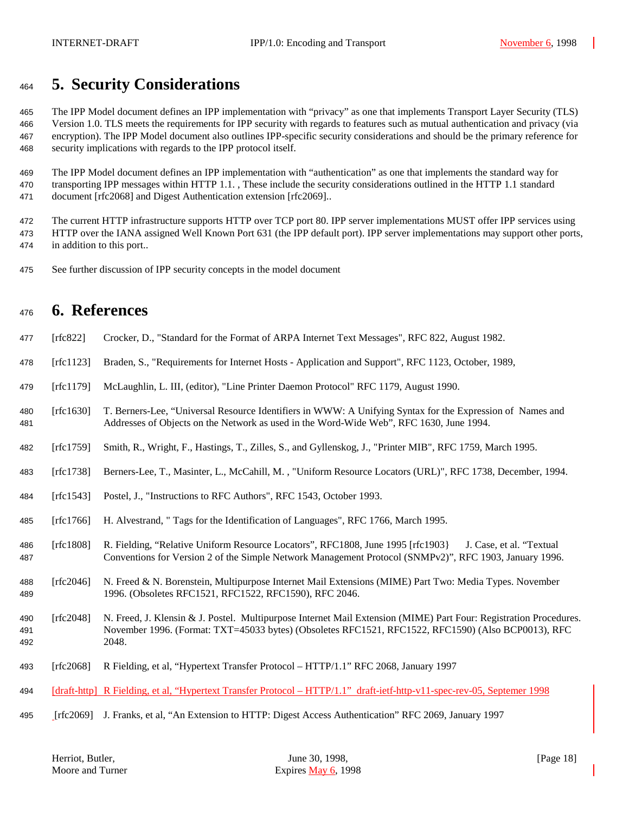# **5. Security Considerations**

 The IPP Model document defines an IPP implementation with "privacy" as one that implements Transport Layer Security (TLS) Version 1.0. TLS meets the requirements for IPP security with regards to features such as mutual authentication and privacy (via encryption). The IPP Model document also outlines IPP-specific security considerations and should be the primary reference for security implications with regards to the IPP protocol itself.

 The IPP Model document defines an IPP implementation with "authentication" as one that implements the standard way for transporting IPP messages within HTTP 1.1. , These include the security considerations outlined in the HTTP 1.1 standard document [rfc2068] and Digest Authentication extension [rfc2069]..

 The current HTTP infrastructure supports HTTP over TCP port 80. IPP server implementations MUST offer IPP services using HTTP over the IANA assigned Well Known Port 631 (the IPP default port). IPP server implementations may support other ports, in addition to this port..

See further discussion of IPP security concepts in the model document

# **6. References**

|  |  |  | 477 [rfc822] Crocker, D., "Standard for the Format of ARPA Internet Text Messages", RFC 822, August 1982. |  |  |  |
|--|--|--|-----------------------------------------------------------------------------------------------------------|--|--|--|
|--|--|--|-----------------------------------------------------------------------------------------------------------|--|--|--|

- [rfc1123] Braden, S., "Requirements for Internet Hosts Application and Support", RFC 1123, October, 1989,
- [rfc1179] McLaughlin, L. III, (editor), "Line Printer Daemon Protocol" RFC 1179, August 1990.
- [rfc1630] T. Berners-Lee, "Universal Resource Identifiers in WWW: A Unifying Syntax for the Expression of Names and Addresses of Objects on the Network as used in the Word-Wide Web", RFC 1630, June 1994.
- [rfc1759] Smith, R., Wright, F., Hastings, T., Zilles, S., and Gyllenskog, J., "Printer MIB", RFC 1759, March 1995.
- [rfc1738] Berners-Lee, T., Masinter, L., McCahill, M. , "Uniform Resource Locators (URL)", RFC 1738, December, 1994.
- [rfc1543] Postel, J., "Instructions to RFC Authors", RFC 1543, October 1993.
- [rfc1766] H. Alvestrand, " Tags for the Identification of Languages", RFC 1766, March 1995.
- [rfc1808] R. Fielding, "Relative Uniform Resource Locators", RFC1808, June 1995 [rfc1903} J. Case, et al. "Textual Conventions for Version 2 of the Simple Network Management Protocol (SNMPv2)", RFC 1903, January 1996.
- [rfc2046] N. Freed & N. Borenstein, Multipurpose Internet Mail Extensions (MIME) Part Two: Media Types. November 1996. (Obsoletes RFC1521, RFC1522, RFC1590), RFC 2046.
- [rfc2048] N. Freed, J. Klensin & J. Postel. Multipurpose Internet Mail Extension (MIME) Part Four: Registration Procedures. November 1996. (Format: TXT=45033 bytes) (Obsoletes RFC1521, RFC1522, RFC1590) (Also BCP0013), RFC 2048.
- [rfc2068] R Fielding, et al, "Hypertext Transfer Protocol HTTP/1.1" RFC 2068, January 1997
- [draft-http] R Fielding, et al, "Hypertext Transfer Protocol HTTP/1.1" draft-ietf-http-v11-spec-rev-05, Septemer 1998
- [rfc2069] J. Franks, et al, "An Extension to HTTP: Digest Access Authentication" RFC 2069, January 1997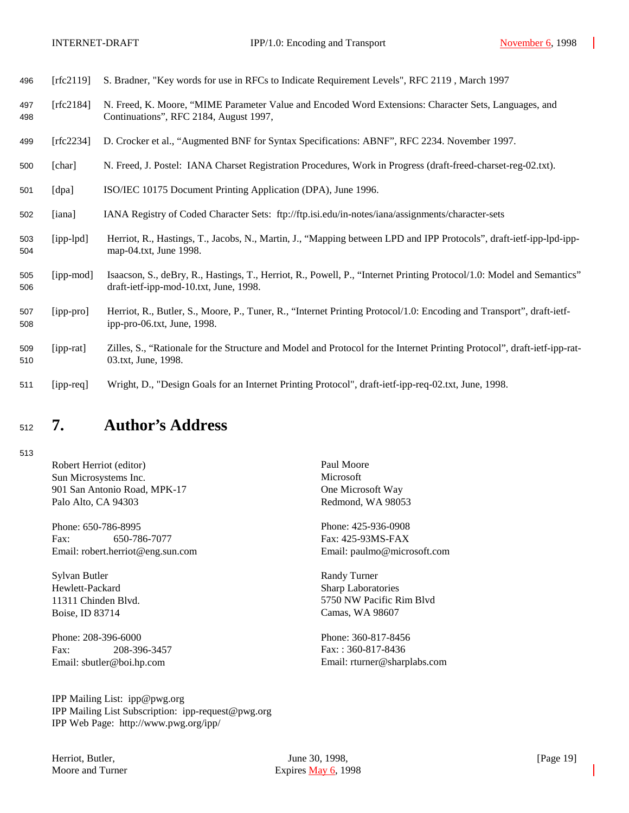| 496 [rfc2119] S. Bradner, "Key words for use in RFCs to Indicate Requirement Levels", RFC 2119, March 1997 |  |
|------------------------------------------------------------------------------------------------------------|--|
|------------------------------------------------------------------------------------------------------------|--|

- 497 [rfc2184] N. Freed, K. Moore, "MIME Parameter Value and Encoded Word Extensions: Character Sets, Languages, and 498 Continuations", RFC 2184, August 1997,
- 499 [rfc2234] D. Crocker et al., "Augmented BNF for Syntax Specifications: ABNF", RFC 2234. November 1997.
- 500 [char] N. Freed, J. Postel: IANA Charset Registration Procedures, Work in Progress (draft-freed-charset-reg-02.txt).
- 501 [dpa] ISO/IEC 10175 Document Printing Application (DPA), June 1996.
- 502 [iana] IANA Registry of Coded Character Sets: ftp://ftp.isi.edu/in-notes/iana/assignments/character-sets
- 503 [ipp-lpd] Herriot, R., Hastings, T., Jacobs, N., Martin, J., "Mapping between LPD and IPP Protocols", draft-ietf-ipp-lpd-ipp-504 map-04.txt, June 1998.
- 505 [ipp-mod] Isaacson, S., deBry, R., Hastings, T., Herriot, R., Powell, P., "Internet Printing Protocol/1.0: Model and Semantics" 506 draft-ietf-ipp-mod-10.txt, June, 1998.
- 507 [ipp-pro] Herriot, R., Butler, S., Moore, P., Tuner, R., "Internet Printing Protocol/1.0: Encoding and Transport", draft-ietf-508 ipp-pro-06.txt, June, 1998.
- 509 [ipp-rat] Zilles, S., "Rationale for the Structure and Model and Protocol for the Internet Printing Protocol", draft-ietf-ipp-rat-510 03.txt, June, 1998.
- 511 [ipp-req] Wright, D., "Design Goals for an Internet Printing Protocol", draft-ietf-ipp-req-02.txt, June, 1998.

# <sup>512</sup> **7. Author's Address**

513

Robert Herriot (editor) Paul Moore Sun Microsystems Inc. Microsoft 901 San Antonio Road, MPK-17 One Microsoft Way Palo Alto, CA 94303 Redmond, WA 98053

Phone: 650-786-8995 Phone: 425-936-0908 Fax: 650-786-7077 Fax: 425-93MS-FAX Email: robert.herriot@eng.sun.com Email: paulmo@microsoft.com

Sylvan Butler Randy Turner Hewlett-Packard Sharp Laboratories Boise, ID 83714 Camas, WA 98607

Phone: 208-396-6000 Phone: 360-817-8456 Fax: 208-396-3457 Fax: : 360-817-8436

11311 Chinden Blvd. 5750 NW Pacific Rim Blvd

Email: sbutler@boi.hp.com Email: rturner@sharplabs.com

IPP Mailing List: ipp@pwg.org IPP Mailing List Subscription: ipp-request@pwg.org IPP Web Page: http://www.pwg.org/ipp/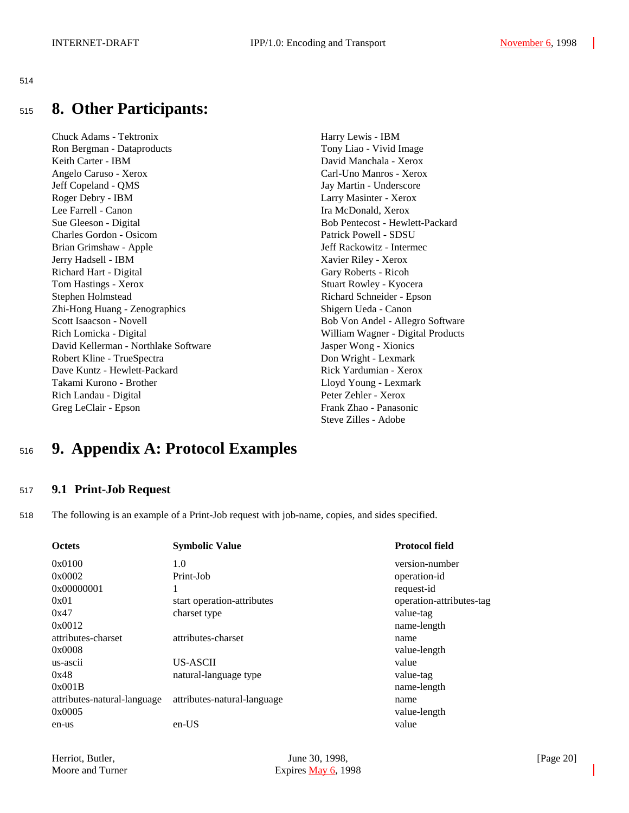#### 514

# <sup>515</sup> **8. Other Participants:**

Chuck Adams - Tektronix Harry Lewis - IBM Ron Bergman - Dataproducts Tony Liao - Vivid Image Keith Carter - IBM David Manchala - Xerox Angelo Caruso - Xerox Carl-Uno Manros - Xerox Jeff Copeland - QMS Jay Martin - Underscore Roger Debry - IBM Larry Masinter - Xerox Lee Farrell - Canon **Ira McDonald, Xerox** Ira McDonald, Xerox Sue Gleeson - Digital Bob Pentecost - Hewlett-Packard Charles Gordon - Osicom Patrick Powell - SDSU Brian Grimshaw - Apple Jeff Rackowitz - Intermec Jerry Hadsell - IBM Xavier Riley - Xerox Richard Hart - Digital Gary Roberts - Ricoh Tom Hastings - Xerox Stuart Rowley - Kyocera Stephen Holmstead Richard Schneider - Epson Zhi-Hong Huang - Zenographics Shigern Ueda - Canon Scott Isaacson - Novell Bob Von Andel - Allegro Software Rich Lomicka - Digital William Wagner - Digital Products David Kellerman - Northlake Software Jasper Wong - Xionics Robert Kline - TrueSpectra **Don Wright - Lexmark** Dave Kuntz - Hewlett-Packard **Rick Yardumian - Xerox** Takami Kurono - Brother Lloyd Young - Lexmark Rich Landau - Digital Peter Zehler - Xerox Greg LeClair - Epson Frank Zhao - Panasonic

Steve Zilles - Adobe

# <sup>516</sup> **9. Appendix A: Protocol Examples**

#### <sup>517</sup> **9.1 Print-Job Request**

518 The following is an example of a Print-Job request with job-name, copies, and sides specified.

| <b>Octets</b>               | <b>Symbolic Value</b>       | <b>Protocol field</b>    |
|-----------------------------|-----------------------------|--------------------------|
| 0x0100                      | 1.0                         | version-number           |
| 0x0002                      | Print-Job                   | operation-id             |
| 0x00000001                  |                             | request-id               |
| 0x01                        | start operation-attributes  | operation-attributes-tag |
| 0x47                        | charset type                | value-tag                |
| 0x0012                      |                             | name-length              |
| attributes-charset          | attributes-charset          | name                     |
| 0x0008                      |                             | value-length             |
| us-ascii                    | <b>US-ASCII</b>             | value                    |
| 0x48                        | natural-language type       | value-tag                |
| 0x001B                      |                             | name-length              |
| attributes-natural-language | attributes-natural-language | name                     |
| 0x0005                      |                             | value-length             |
| en-us                       | $en-US$                     | value                    |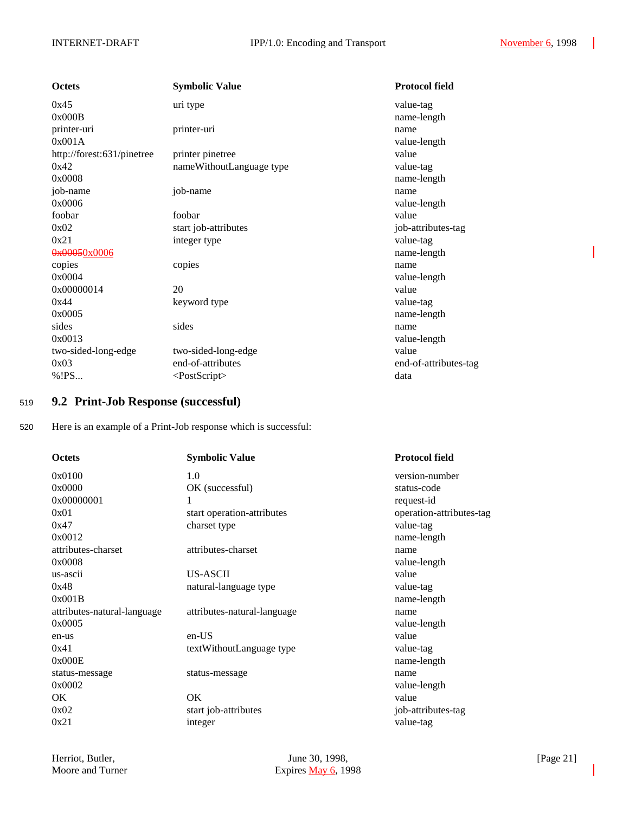| <b>Octets</b>              | <b>Symbolic Value</b>    | <b>Protocol field</b> |
|----------------------------|--------------------------|-----------------------|
| 0x45                       | uri type                 | value-tag             |
| 0x000B                     |                          | name-length           |
| printer-uri                | printer-uri              | name                  |
| 0x001A                     |                          | value-length          |
| http://forest:631/pinetree | printer pinetree         | value                 |
| 0x42                       | nameWithoutLanguage type | value-tag             |
| 0x0008                     |                          | name-length           |
| job-name                   | job-name                 | name                  |
| 0x0006                     |                          | value-length          |
| foobar                     | foobar                   | value                 |
| 0x02                       | start job-attributes     | job-attributes-tag    |
| 0x21                       | integer type             | value-tag             |
| 0x00050x0006               |                          | name-length           |
| copies                     | copies                   | name                  |
| 0x0004                     |                          | value-length          |
| 0x00000014                 | 20                       | value                 |
| 0x44                       | keyword type             | value-tag             |
| 0x0005                     |                          | name-length           |
| sides                      | sides                    | name                  |
| 0x0013                     |                          | value-length          |
| two-sided-long-edge        | two-sided-long-edge      | value                 |
| 0x03                       | end-of-attributes        | end-of-attributes-tag |
| % ! PS                     | $<$ PostScript $>$       | data                  |

## <sup>519</sup> **9.2 Print-Job Response (successful)**

520 Here is an example of a Print-Job response which is successful:

| <b>Octets</b>               | <b>Symbolic Value</b>       | <b>Protocol field</b>    |
|-----------------------------|-----------------------------|--------------------------|
| 0x0100                      | 1.0                         | version-number           |
| 0x0000                      | OK (successful)             | status-code              |
| 0x00000001                  | 1                           | request-id               |
| 0x01                        | start operation-attributes  | operation-attributes-tag |
| 0x47                        | charset type                | value-tag                |
| 0x0012                      |                             | name-length              |
| attributes-charset          | attributes-charset          | name                     |
| 0x0008                      |                             | value-length             |
| us-ascii                    | US-ASCII                    | value                    |
| 0x48                        | natural-language type       | value-tag                |
| 0x001B                      |                             | name-length              |
| attributes-natural-language | attributes-natural-language | name                     |
| 0x0005                      |                             | value-length             |
| en-us                       | $en-US$                     | value                    |
| 0x41                        | textWithoutLanguage type    | value-tag                |
| 0x000E                      |                             | name-length              |
| status-message              | status-message              | name                     |
| 0x0002                      |                             | value-length             |
| <b>OK</b>                   | <b>OK</b>                   | value                    |
| 0x02                        | start job-attributes        | job-attributes-tag       |
| 0x21                        | integer                     | value-tag                |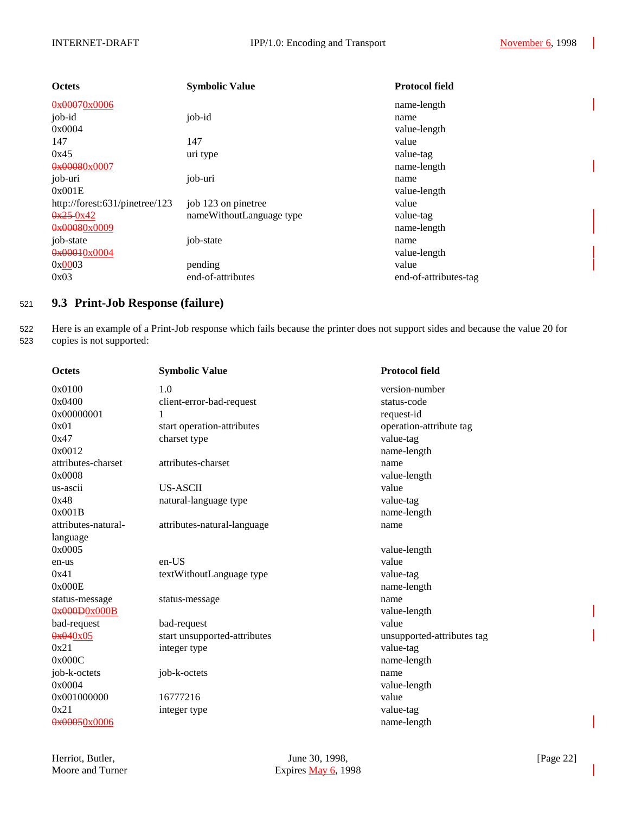| <b>Octets</b>                  | <b>Symbolic Value</b>    | <b>Protocol field</b> |
|--------------------------------|--------------------------|-----------------------|
| $0 \times 00070 \times 0006$   |                          | name-length           |
| job-id                         | job-id                   | name                  |
| 0x0004                         |                          | value-length          |
| 147                            | 147                      | value                 |
| 0x45                           | uri type                 | value-tag             |
| $0 \times 00080 \times 0007$   |                          | name-length           |
| job-uri                        | job-uri                  | name                  |
| 0x001E                         |                          | value-length          |
| http://forest:631/pinetree/123 | job 123 on pinetree      | value                 |
| $0x^25-0x^42$                  | nameWithoutLanguage type | value-tag             |
| $0 \times 00080 \times 0009$   |                          | name-length           |
| job-state                      | job-state                | name                  |
| 0x00010x0004                   |                          | value-length          |
| 0x0003                         | pending                  | value                 |
| 0x03                           | end-of-attributes        | end-of-attributes-tag |

# <sup>521</sup> **9.3 Print-Job Response (failure)**

522 Here is an example of a Print-Job response which fails because the printer does not support sides and because the value 20 for 523 copies is not supported:

| <b>Octets</b>                 | <b>Symbolic Value</b>        | <b>Protocol field</b>      |
|-------------------------------|------------------------------|----------------------------|
| 0x0100                        | 1.0                          | version-number             |
| 0x0400                        | client-error-bad-request     | status-code                |
| 0x00000001                    | 1                            | request-id                 |
| 0x01                          | start operation-attributes   | operation-attribute tag    |
| 0x47                          | charset type                 | value-tag                  |
| 0x0012                        |                              | name-length                |
| attributes-charset            | attributes-charset           | name                       |
| 0x0008                        |                              | value-length               |
| us-ascii                      | <b>US-ASCII</b>              | value                      |
| 0x48                          | natural-language type        | value-tag                  |
| 0x001B                        |                              | name-length                |
| attributes-natural-           | attributes-natural-language  | name                       |
| language                      |                              |                            |
| 0x0005                        |                              | value-length               |
| en-us                         | $en-US$                      | value                      |
| 0x41                          | textWithoutLanguage type     | value-tag                  |
| 0x000E                        |                              | name-length                |
| status-message                | status-message               | name                       |
| $0 \times 000000 \times 0000$ |                              | value-length               |
| bad-request                   | bad-request                  | value                      |
| $0 \times 040 \times 05$      | start unsupported-attributes | unsupported-attributes tag |
| 0x21                          | integer type                 | value-tag                  |
| 0x000C                        |                              | name-length                |
| job-k-octets                  | job-k-octets                 | name                       |
| 0x0004                        |                              | value-length               |
| 0x001000000                   | 16777216                     | value                      |
| 0x21                          | integer type                 | value-tag                  |
| 0x00050x0006                  |                              | name-length                |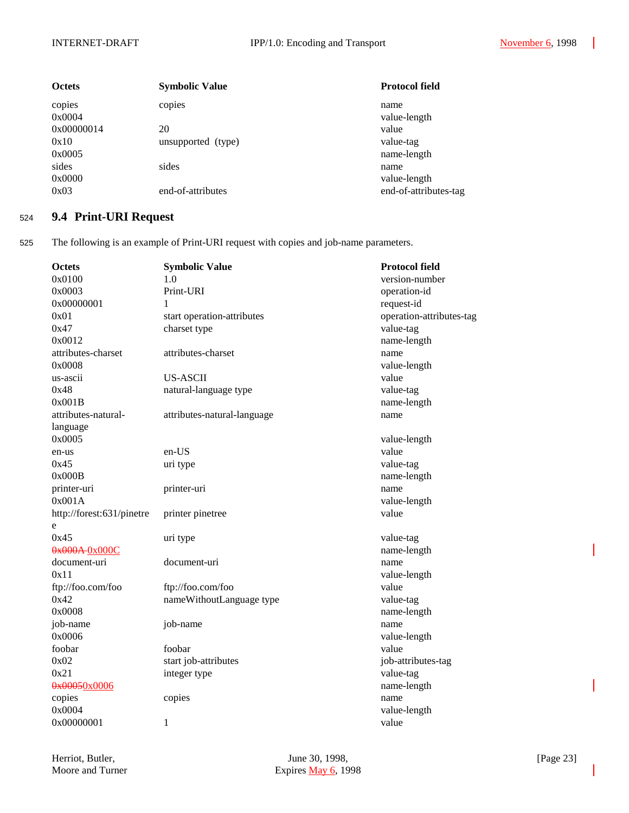| <b>Octets</b>    | <b>Symbolic Value</b> | <b>Protocol field</b>    |
|------------------|-----------------------|--------------------------|
| copies<br>0x0004 | copies                | name<br>value-length     |
| 0x00000014       | 20                    | value                    |
| 0x10<br>0x0005   | unsupported (type)    | value-tag<br>name-length |
| sides<br>0x0000  | sides                 | name<br>value-length     |
| 0x03             | end-of-attributes     | end-of-attributes-tag    |

# <sup>524</sup> **9.4 Print-URI Request**

525 The following is an example of Print-URI request with copies and job-name parameters.

| Octets                    | <b>Symbolic Value</b>       | <b>Protocol field</b>    |
|---------------------------|-----------------------------|--------------------------|
| 0x0100                    | 1.0                         | version-number           |
| 0x0003                    | Print-URI                   | operation-id             |
| 0x00000001                | 1                           | request-id               |
| 0x01                      | start operation-attributes  | operation-attributes-tag |
| 0x47                      | charset type                | value-tag                |
| 0x0012                    |                             | name-length              |
| attributes-charset        | attributes-charset          | name                     |
| 0x0008                    |                             | value-length             |
| us-ascii                  | <b>US-ASCII</b>             | value                    |
| 0x48                      | natural-language type       | value-tag                |
| 0x001B                    |                             | name-length              |
| attributes-natural-       | attributes-natural-language | name                     |
| language                  |                             |                          |
| 0x0005                    |                             | value-length             |
| en-us                     | en-US                       | value                    |
| 0x45                      | uri type                    | value-tag                |
| 0x000B                    |                             | name-length              |
| printer-uri               | printer-uri                 | name                     |
| 0x001A                    |                             | value-length             |
| http://forest:631/pinetre | printer pinetree            | value                    |
| e                         |                             |                          |
| 0x45                      | uri type                    | value-tag                |
| 0x000A-0x000C             |                             | name-length              |
| document-uri              | document-uri                | name                     |
| 0x11                      |                             | value-length             |
| ftp://foo.com/foo         | ftp://foo.com/foo           | value                    |
| 0x42                      | nameWithoutLanguage type    | value-tag                |
| 0x0008                    |                             | name-length              |
| job-name                  | job-name                    | name                     |
| 0x0006                    |                             | value-length             |
| foobar                    | foobar                      | value                    |
| 0x02                      | start job-attributes        | job-attributes-tag       |
| 0x21                      | integer type                | value-tag                |
| 0x00050x0006              |                             | name-length              |
| copies                    | copies                      | name                     |
| 0x0004                    |                             | value-length             |
| 0x00000001                | 1                           | value                    |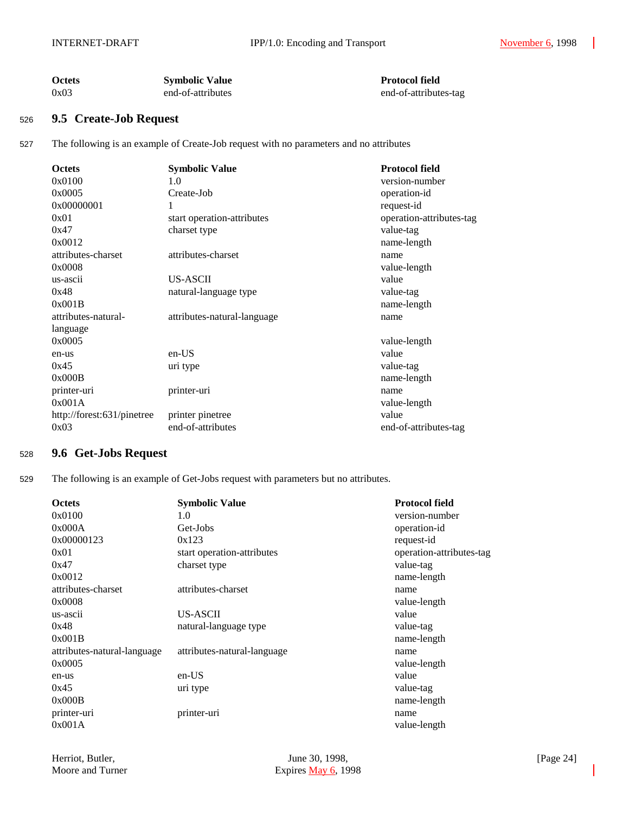| <b>Octets</b> | <b>Symbolic Value</b> | <b>Protocol field</b> |
|---------------|-----------------------|-----------------------|
| 0x03          | end-of-attributes     | end-of-attributes-tag |

### <sup>526</sup> **9.5 Create-Job Request**

527 The following is an example of Create-Job request with no parameters and no attributes

| <b>Octets</b>              | <b>Symbolic Value</b>       | <b>Protocol field</b>    |
|----------------------------|-----------------------------|--------------------------|
| 0x0100                     | 1.0                         | version-number           |
| 0x0005                     | Create-Job                  | operation-id             |
| 0x00000001                 | 1                           | request-id               |
| 0x01                       | start operation-attributes  | operation-attributes-tag |
| 0x47                       | charset type                | value-tag                |
| 0x0012                     |                             | name-length              |
| attributes-charset         | attributes-charset          | name                     |
| 0x0008                     |                             | value-length             |
| us-ascii                   | US-ASCII                    | value                    |
| 0x48                       | natural-language type       | value-tag                |
| 0x001B                     |                             | name-length              |
| attributes-natural-        | attributes-natural-language | name                     |
| language                   |                             |                          |
| 0x0005                     |                             | value-length             |
| en-us                      | $en-US$                     | value                    |
| 0x45                       | uri type                    | value-tag                |
| 0x000B                     |                             | name-length              |
| printer-uri                | printer-uri                 | name                     |
| 0x001A                     |                             | value-length             |
| http://forest:631/pinetree | printer pinetree            | value                    |
| 0x03                       | end-of-attributes           | end-of-attributes-tag    |

## <sup>528</sup> **9.6 Get-Jobs Request**

529 The following is an example of Get-Jobs request with parameters but no attributes.

| <b>Octets</b>               | <b>Symbolic Value</b>       | <b>Protocol field</b>    |
|-----------------------------|-----------------------------|--------------------------|
| 0x0100                      | 1.0                         | version-number           |
| 0x000A                      | Get-Jobs                    | operation-id             |
| 0x00000123                  | 0x123                       | request-id               |
| 0x01                        | start operation-attributes  | operation-attributes-tag |
| 0x47                        | charset type                | value-tag                |
| 0x0012                      |                             | name-length              |
| attributes-charset          | attributes-charset          | name                     |
| 0x0008                      |                             | value-length             |
| us-ascii                    | US-ASCII                    | value                    |
| 0x48                        | natural-language type       | value-tag                |
| 0x001B                      |                             | name-length              |
| attributes-natural-language | attributes-natural-language | name                     |
| 0x0005                      |                             | value-length             |
| en-us                       | $en-US$                     | value                    |
| 0x45                        | uri type                    | value-tag                |
| 0x000B                      |                             | name-length              |
| printer-uri                 | printer-uri                 | name                     |
| 0x001A                      |                             | value-length             |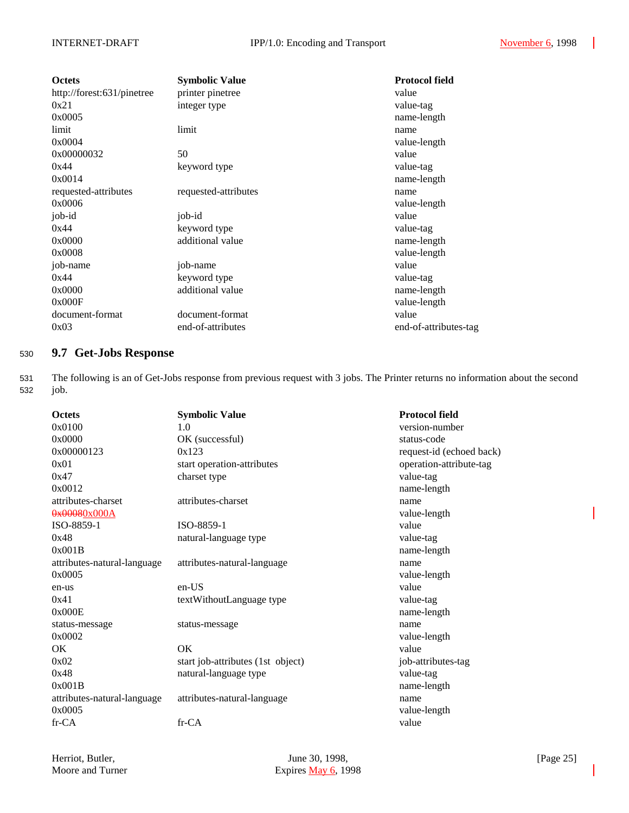| <b>Octets</b>              | <b>Symbolic Value</b> | <b>Protocol field</b> |
|----------------------------|-----------------------|-----------------------|
| http://forest:631/pinetree | printer pinetree      | value                 |
| 0x21                       | integer type          | value-tag             |
| 0x0005                     |                       | name-length           |
| limit                      | limit                 | name                  |
| 0x0004                     |                       | value-length          |
| 0x00000032                 | 50                    | value                 |
| 0x44                       | keyword type          | value-tag             |
| 0x0014                     |                       | name-length           |
| requested-attributes       | requested-attributes  | name                  |
| 0x0006                     |                       | value-length          |
| job-id                     | job-id                | value                 |
| 0x44                       | keyword type          | value-tag             |
| 0x0000                     | additional value      | name-length           |
| 0x0008                     |                       | value-length          |
| job-name                   | job-name              | value                 |
| 0x44                       | keyword type          | value-tag             |
| 0x0000                     | additional value      | name-length           |
| 0x000F                     |                       | value-length          |
| document-format            | document-format       | value                 |
| 0x03                       | end-of-attributes     | end-of-attributes-tag |

# <sup>530</sup> **9.7 Get-Jobs Response**

531 The following is an of Get-Jobs response from previous request with 3 jobs. The Printer returns no information about the second 532 job.

| <b>Octets</b>               | <b>Symbolic Value</b>             | <b>Protocol field</b>    |
|-----------------------------|-----------------------------------|--------------------------|
| 0x0100                      | 1.0                               | version-number           |
| 0x0000                      | OK (successful)                   | status-code              |
| 0x00000123                  | 0x123                             | request-id (echoed back) |
| 0x01                        | start operation-attributes        | operation-attribute-tag  |
| 0x47                        | charset type                      | value-tag                |
| 0x0012                      |                                   | name-length              |
| attributes-charset          | attributes-charset                | name                     |
| 0x00080x000A                |                                   | value-length             |
| ISO-8859-1                  | ISO-8859-1                        | value                    |
| 0x48                        | natural-language type             | value-tag                |
| 0x001B                      |                                   | name-length              |
| attributes-natural-language | attributes-natural-language       | name                     |
| 0x0005                      |                                   | value-length             |
| en-us                       | $en-US$                           | value                    |
| 0x41                        | textWithoutLanguage type          | value-tag                |
| 0x000E                      |                                   | name-length              |
| status-message              | status-message                    | name                     |
| 0x0002                      |                                   | value-length             |
| OK.                         | OK.                               | value                    |
| 0x02                        | start job-attributes (1st object) | job-attributes-tag       |
| 0x48                        | natural-language type             | value-tag                |
| 0x001B                      |                                   | name-length              |
| attributes-natural-language | attributes-natural-language       | name                     |
| 0x0005                      |                                   | value-length             |
| fr-CA                       | fr-CA                             | value                    |
|                             |                                   |                          |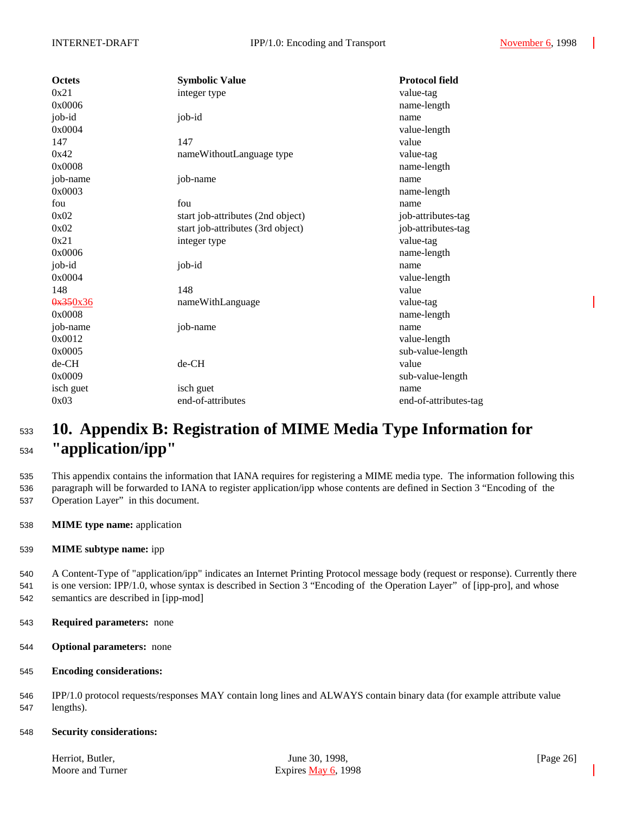| <b>Octets</b> | <b>Symbolic Value</b>             | <b>Protocol field</b> |
|---------------|-----------------------------------|-----------------------|
| 0x21          | integer type                      | value-tag             |
| 0x0006        |                                   | name-length           |
| job-id        | job-id                            | name                  |
| 0x0004        |                                   | value-length          |
| 147           | 147                               | value                 |
| 0x42          | nameWithoutLanguage type          | value-tag             |
| 0x0008        |                                   | name-length           |
| job-name      | job-name                          | name                  |
| 0x0003        |                                   | name-length           |
| fou           | fou                               | name                  |
| 0x02          | start job-attributes (2nd object) | job-attributes-tag    |
| 0x02          | start job-attributes (3rd object) | job-attributes-tag    |
| 0x21          | integer type                      | value-tag             |
| 0x0006        |                                   | name-length           |
| job-id        | job-id                            | name                  |
| 0x0004        |                                   | value-length          |
| 148           | 148                               | value                 |
| 0x350x36      | nameWithLanguage                  | value-tag             |
| 0x0008        |                                   | name-length           |
| job-name      | job-name                          | name                  |
| 0x0012        |                                   | value-length          |
| 0x0005        |                                   | sub-value-length      |
| de-CH         | de-CH                             | value                 |
| 0x0009        |                                   | sub-value-length      |
| isch guet     | isch guet                         | name                  |
| 0x03          | end-of-attributes                 | end-of-attributes-tag |

# <sup>533</sup> **10. Appendix B: Registration of MIME Media Type Information for** <sup>534</sup> **"application/ipp"**

535 This appendix contains the information that IANA requires for registering a MIME media type. The information following this 536 paragraph will be forwarded to IANA to register application/ipp whose contents are defined in Section 3 "Encoding of the 537 Operation Layer" in this document.

- 538 **MIME type name:** application
- 539 **MIME subtype name:** ipp

540 A Content-Type of "application/ipp" indicates an Internet Printing Protocol message body (request or response). Currently there 541 is one version: IPP/1.0, whose syntax is described in Section 3 "Encoding of the Operation Layer" of [ipp-pro], and whose 542 semantics are described in [ipp-mod]

- 543 **Required parameters:** none
- 544 **Optional parameters:** none
- 545 **Encoding considerations:**

546 IPP/1.0 protocol requests/responses MAY contain long lines and ALWAYS contain binary data (for example attribute value 547 lengths).

548 **Security considerations:**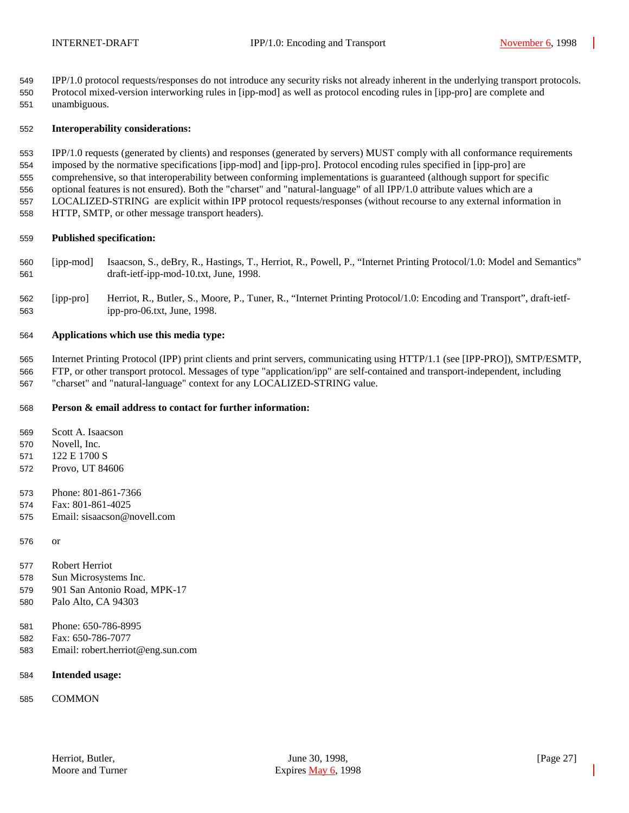IPP/1.0 protocol requests/responses do not introduce any security risks not already inherent in the underlying transport protocols. Protocol mixed-version interworking rules in [ipp-mod] as well as protocol encoding rules in [ipp-pro] are complete and unambiguous.

#### **Interoperability considerations:**

 IPP/1.0 requests (generated by clients) and responses (generated by servers) MUST comply with all conformance requirements imposed by the normative specifications [ipp-mod] and [ipp-pro]. Protocol encoding rules specified in [ipp-pro] are comprehensive, so that interoperability between conforming implementations is guaranteed (although support for specific optional features is not ensured). Both the "charset" and "natural-language" of all IPP/1.0 attribute values which are a LOCALIZED-STRING are explicit within IPP protocol requests/responses (without recourse to any external information in HTTP, SMTP, or other message transport headers).

#### **Published specification:**

- [ipp-mod] Isaacson, S., deBry, R., Hastings, T., Herriot, R., Powell, P., "Internet Printing Protocol/1.0: Model and Semantics" draft-ietf-ipp-mod-10.txt, June, 1998.
- [ipp-pro] Herriot, R., Butler, S., Moore, P., Tuner, R., "Internet Printing Protocol/1.0: Encoding and Transport", draft-ietf-ipp-pro-06.txt, June, 1998.

#### **Applications which use this media type:**

 Internet Printing Protocol (IPP) print clients and print servers, communicating using HTTP/1.1 (see [IPP-PRO]), SMTP/ESMTP, FTP, or other transport protocol. Messages of type "application/ipp" are self-contained and transport-independent, including "charset" and "natural-language" context for any LOCALIZED-STRING value.

### **Person & email address to contact for further information:**

Scott A. Isaacson

Novell, Inc.

- 122 E 1700 S
- Provo, UT 84606
- Phone: 801-861-7366
- Fax: 801-861-4025
- Email: sisaacson@novell.com

or

- Robert Herriot
- Sun Microsystems Inc.
- 901 San Antonio Road, MPK-17
- Palo Alto, CA 94303
- Phone: 650-786-8995
- Fax: 650-786-7077
- Email: robert.herriot@eng.sun.com
- **Intended usage:**
- COMMON